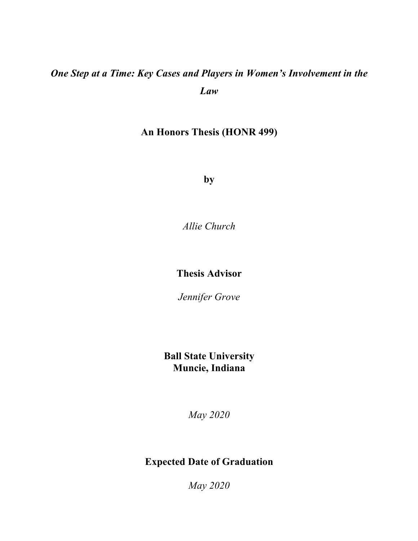# *One Step at a Time: Key Cases and Players in Women's Involvement in the Law*

### **An Honors Thesis (HONR 499)**

**by**

*Allie Church*

### **Thesis Advisor**

*Jennifer Grove*

### **Ball State University Muncie, Indiana**

*May 2020*

### **Expected Date of Graduation**

*May 2020*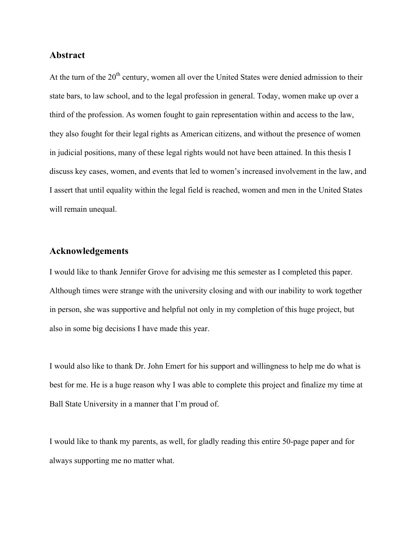#### **Abstract**

At the turn of the  $20<sup>th</sup>$  century, women all over the United States were denied admission to their state bars, to law school, and to the legal profession in general. Today, women make up over a third of the profession. As women fought to gain representation within and access to the law, they also fought for their legal rights as American citizens, and without the presence of women in judicial positions, many of these legal rights would not have been attained. In this thesis I discuss key cases, women, and events that led to women's increased involvement in the law, and I assert that until equality within the legal field is reached, women and men in the United States will remain unequal.

#### **Acknowledgements**

I would like to thank Jennifer Grove for advising me this semester as I completed this paper. Although times were strange with the university closing and with our inability to work together in person, she was supportive and helpful not only in my completion of this huge project, but also in some big decisions I have made this year.

I would also like to thank Dr. John Emert for his support and willingness to help me do what is best for me. He is a huge reason why I was able to complete this project and finalize my time at Ball State University in a manner that I'm proud of.

I would like to thank my parents, as well, for gladly reading this entire 50-page paper and for always supporting me no matter what.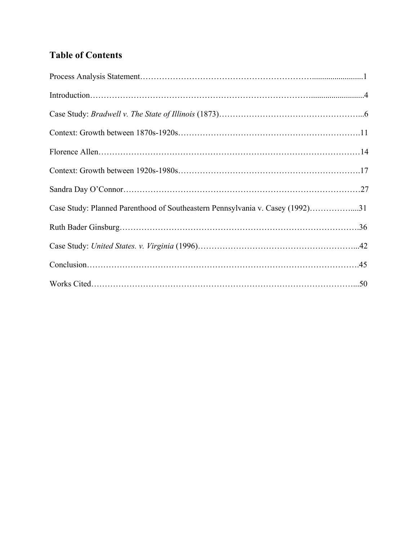## **Table of Contents**

| Case Study: Planned Parenthood of Southeastern Pennsylvania v. Casey (1992)31 |  |
|-------------------------------------------------------------------------------|--|
|                                                                               |  |
|                                                                               |  |
|                                                                               |  |
|                                                                               |  |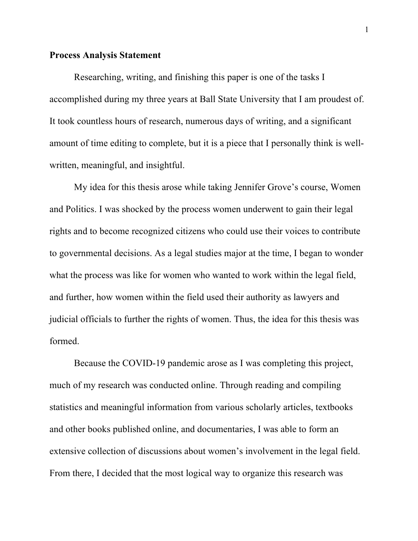#### **Process Analysis Statement**

Researching, writing, and finishing this paper is one of the tasks I accomplished during my three years at Ball State University that I am proudest of. It took countless hours of research, numerous days of writing, and a significant amount of time editing to complete, but it is a piece that I personally think is wellwritten, meaningful, and insightful.

My idea for this thesis arose while taking Jennifer Grove's course, Women and Politics. I was shocked by the process women underwent to gain their legal rights and to become recognized citizens who could use their voices to contribute to governmental decisions. As a legal studies major at the time, I began to wonder what the process was like for women who wanted to work within the legal field, and further, how women within the field used their authority as lawyers and judicial officials to further the rights of women. Thus, the idea for this thesis was formed.

Because the COVID-19 pandemic arose as I was completing this project, much of my research was conducted online. Through reading and compiling statistics and meaningful information from various scholarly articles, textbooks and other books published online, and documentaries, I was able to form an extensive collection of discussions about women's involvement in the legal field. From there, I decided that the most logical way to organize this research was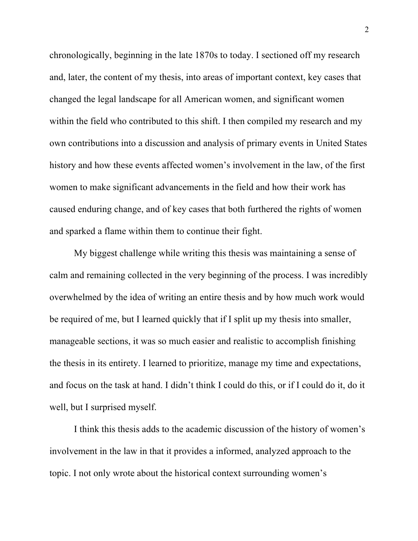chronologically, beginning in the late 1870s to today. I sectioned off my research and, later, the content of my thesis, into areas of important context, key cases that changed the legal landscape for all American women, and significant women within the field who contributed to this shift. I then compiled my research and my own contributions into a discussion and analysis of primary events in United States history and how these events affected women's involvement in the law, of the first women to make significant advancements in the field and how their work has caused enduring change, and of key cases that both furthered the rights of women and sparked a flame within them to continue their fight.

My biggest challenge while writing this thesis was maintaining a sense of calm and remaining collected in the very beginning of the process. I was incredibly overwhelmed by the idea of writing an entire thesis and by how much work would be required of me, but I learned quickly that if I split up my thesis into smaller, manageable sections, it was so much easier and realistic to accomplish finishing the thesis in its entirety. I learned to prioritize, manage my time and expectations, and focus on the task at hand. I didn't think I could do this, or if I could do it, do it well, but I surprised myself.

I think this thesis adds to the academic discussion of the history of women's involvement in the law in that it provides a informed, analyzed approach to the topic. I not only wrote about the historical context surrounding women's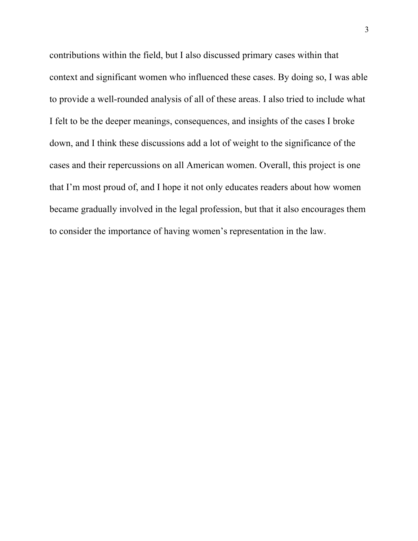contributions within the field, but I also discussed primary cases within that context and significant women who influenced these cases. By doing so, I was able to provide a well-rounded analysis of all of these areas. I also tried to include what I felt to be the deeper meanings, consequences, and insights of the cases I broke down, and I think these discussions add a lot of weight to the significance of the cases and their repercussions on all American women. Overall, this project is one that I'm most proud of, and I hope it not only educates readers about how women became gradually involved in the legal profession, but that it also encourages them to consider the importance of having women's representation in the law.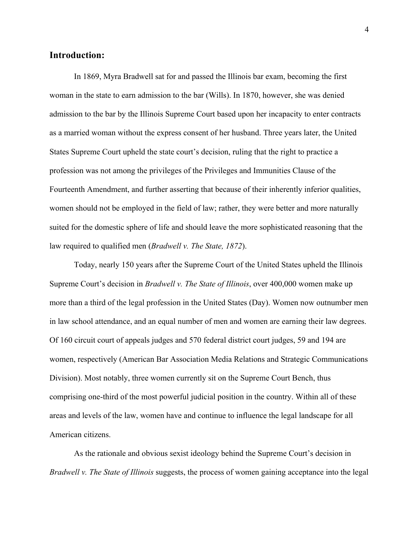#### **Introduction:**

In 1869, Myra Bradwell sat for and passed the Illinois bar exam, becoming the first woman in the state to earn admission to the bar (Wills). In 1870, however, she was denied admission to the bar by the Illinois Supreme Court based upon her incapacity to enter contracts as a married woman without the express consent of her husband. Three years later, the United States Supreme Court upheld the state court's decision, ruling that the right to practice a profession was not among the privileges of the Privileges and Immunities Clause of the Fourteenth Amendment, and further asserting that because of their inherently inferior qualities, women should not be employed in the field of law; rather, they were better and more naturally suited for the domestic sphere of life and should leave the more sophisticated reasoning that the law required to qualified men (*Bradwell v. The State, 1872*).

Today, nearly 150 years after the Supreme Court of the United States upheld the Illinois Supreme Court's decision in *Bradwell v. The State of Illinois*, over 400,000 women make up more than a third of the legal profession in the United States (Day). Women now outnumber men in law school attendance, and an equal number of men and women are earning their law degrees. Of 160 circuit court of appeals judges and 570 federal district court judges, 59 and 194 are women, respectively (American Bar Association Media Relations and Strategic Communications Division). Most notably, three women currently sit on the Supreme Court Bench, thus comprising one-third of the most powerful judicial position in the country. Within all of these areas and levels of the law, women have and continue to influence the legal landscape for all American citizens.

As the rationale and obvious sexist ideology behind the Supreme Court's decision in *Bradwell v. The State of Illinois* suggests, the process of women gaining acceptance into the legal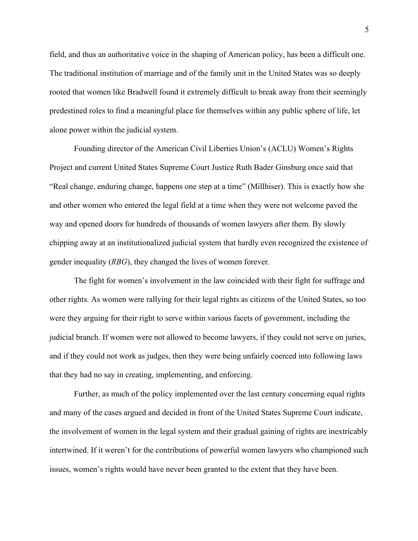field, and thus an authoritative voice in the shaping of American policy, has been a difficult one. The traditional institution of marriage and of the family unit in the United States was so deeply rooted that women like Bradwell found it extremely difficult to break away from their seemingly predestined roles to find a meaningful place for themselves within any public sphere of life, let alone power within the judicial system.

Founding director of the American Civil Liberties Union's (ACLU) Women's Rights Project and current United States Supreme Court Justice Ruth Bader Ginsburg once said that "Real change, enduring change, happens one step at a time" (Millhiser). This is exactly how she and other women who entered the legal field at a time when they were not welcome paved the way and opened doors for hundreds of thousands of women lawyers after them. By slowly chipping away at an institutionalized judicial system that hardly even recognized the existence of gender inequality (*RBG*), they changed the lives of women forever.

The fight for women's involvement in the law coincided with their fight for suffrage and other rights. As women were rallying for their legal rights as citizens of the United States, so too were they arguing for their right to serve within various facets of government, including the judicial branch. If women were not allowed to become lawyers, if they could not serve on juries, and if they could not work as judges, then they were being unfairly coerced into following laws that they had no say in creating, implementing, and enforcing.

Further, as much of the policy implemented over the last century concerning equal rights and many of the cases argued and decided in front of the United States Supreme Court indicate, the involvement of women in the legal system and their gradual gaining of rights are inextricably intertwined. If it weren't for the contributions of powerful women lawyers who championed such issues, women's rights would have never been granted to the extent that they have been.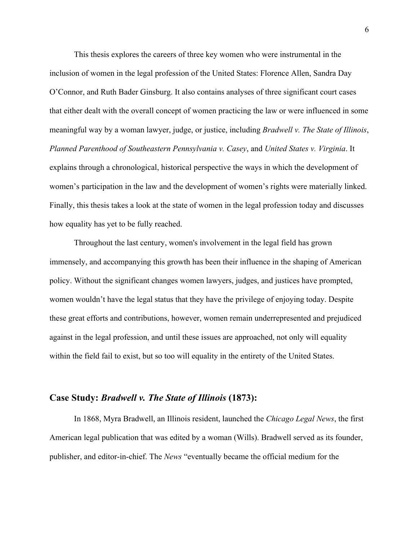This thesis explores the careers of three key women who were instrumental in the inclusion of women in the legal profession of the United States: Florence Allen, Sandra Day O'Connor, and Ruth Bader Ginsburg. It also contains analyses of three significant court cases that either dealt with the overall concept of women practicing the law or were influenced in some meaningful way by a woman lawyer, judge, or justice, including *Bradwell v. The State of Illinois*, *Planned Parenthood of Southeastern Pennsylvania v. Casey*, and *United States v. Virginia*. It explains through a chronological, historical perspective the ways in which the development of women's participation in the law and the development of women's rights were materially linked. Finally, this thesis takes a look at the state of women in the legal profession today and discusses how equality has yet to be fully reached.

Throughout the last century, women's involvement in the legal field has grown immensely, and accompanying this growth has been their influence in the shaping of American policy. Without the significant changes women lawyers, judges, and justices have prompted, women wouldn't have the legal status that they have the privilege of enjoying today. Despite these great efforts and contributions, however, women remain underrepresented and prejudiced against in the legal profession, and until these issues are approached, not only will equality within the field fail to exist, but so too will equality in the entirety of the United States.

#### **Case Study:** *Bradwell v. The State of Illinois* **(1873):**

In 1868, Myra Bradwell, an Illinois resident, launched the *Chicago Legal News*, the first American legal publication that was edited by a woman (Wills). Bradwell served as its founder, publisher, and editor-in-chief. The *News* "eventually became the official medium for the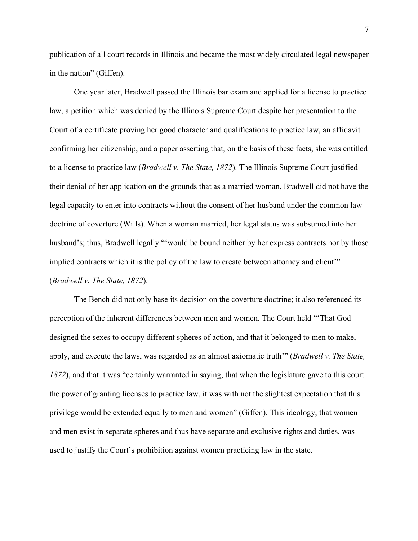publication of all court records in Illinois and became the most widely circulated legal newspaper in the nation" (Giffen).

One year later, Bradwell passed the Illinois bar exam and applied for a license to practice law, a petition which was denied by the Illinois Supreme Court despite her presentation to the Court of a certificate proving her good character and qualifications to practice law, an affidavit confirming her citizenship, and a paper asserting that, on the basis of these facts, she was entitled to a license to practice law (*Bradwell v. The State, 1872*). The Illinois Supreme Court justified their denial of her application on the grounds that as a married woman, Bradwell did not have the legal capacity to enter into contracts without the consent of her husband under the common law doctrine of coverture (Wills). When a woman married, her legal status was subsumed into her husband's; thus, Bradwell legally "'would be bound neither by her express contracts nor by those implied contracts which it is the policy of the law to create between attorney and client'" (*Bradwell v. The State, 1872*).

The Bench did not only base its decision on the coverture doctrine; it also referenced its perception of the inherent differences between men and women. The Court held "'That God designed the sexes to occupy different spheres of action, and that it belonged to men to make, apply, and execute the laws, was regarded as an almost axiomatic truth'" (*Bradwell v. The State, 1872*), and that it was "certainly warranted in saying, that when the legislature gave to this court the power of granting licenses to practice law, it was with not the slightest expectation that this privilege would be extended equally to men and women" (Giffen). This ideology, that women and men exist in separate spheres and thus have separate and exclusive rights and duties, was used to justify the Court's prohibition against women practicing law in the state.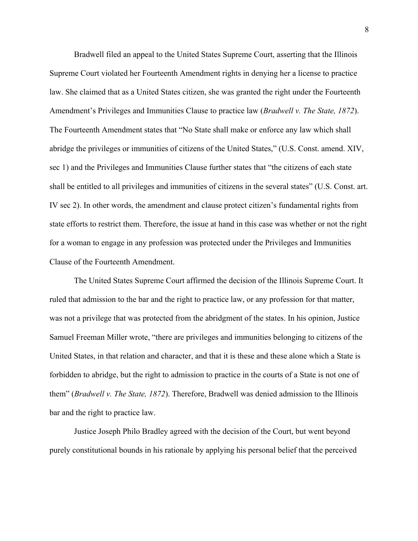Bradwell filed an appeal to the United States Supreme Court, asserting that the Illinois Supreme Court violated her Fourteenth Amendment rights in denying her a license to practice law. She claimed that as a United States citizen, she was granted the right under the Fourteenth Amendment's Privileges and Immunities Clause to practice law (*Bradwell v. The State, 1872*). The Fourteenth Amendment states that "No State shall make or enforce any law which shall abridge the privileges or immunities of citizens of the United States," (U.S. Const. amend. XIV, sec 1) and the Privileges and Immunities Clause further states that "the citizens of each state shall be entitled to all privileges and immunities of citizens in the several states" (U.S. Const. art. IV sec 2). In other words, the amendment and clause protect citizen's fundamental rights from state efforts to restrict them. Therefore, the issue at hand in this case was whether or not the right for a woman to engage in any profession was protected under the Privileges and Immunities Clause of the Fourteenth Amendment.

The United States Supreme Court affirmed the decision of the Illinois Supreme Court. It ruled that admission to the bar and the right to practice law, or any profession for that matter, was not a privilege that was protected from the abridgment of the states. In his opinion, Justice Samuel Freeman Miller wrote, "there are privileges and immunities belonging to citizens of the United States, in that relation and character, and that it is these and these alone which a State is forbidden to abridge, but the right to admission to practice in the courts of a State is not one of them" (*Bradwell v. The State, 1872*). Therefore, Bradwell was denied admission to the Illinois bar and the right to practice law.

Justice Joseph Philo Bradley agreed with the decision of the Court, but went beyond purely constitutional bounds in his rationale by applying his personal belief that the perceived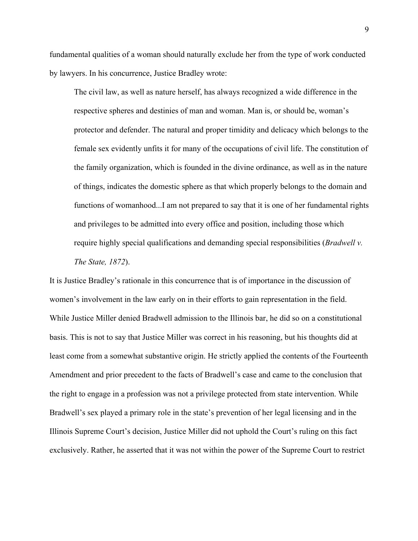fundamental qualities of a woman should naturally exclude her from the type of work conducted by lawyers. In his concurrence, Justice Bradley wrote:

The civil law, as well as nature herself, has always recognized a wide difference in the respective spheres and destinies of man and woman. Man is, or should be, woman's protector and defender. The natural and proper timidity and delicacy which belongs to the female sex evidently unfits it for many of the occupations of civil life. The constitution of the family organization, which is founded in the divine ordinance, as well as in the nature of things, indicates the domestic sphere as that which properly belongs to the domain and functions of womanhood...I am not prepared to say that it is one of her fundamental rights and privileges to be admitted into every office and position, including those which require highly special qualifications and demanding special responsibilities (*Bradwell v. The State, 1872*).

It is Justice Bradley's rationale in this concurrence that is of importance in the discussion of women's involvement in the law early on in their efforts to gain representation in the field. While Justice Miller denied Bradwell admission to the Illinois bar, he did so on a constitutional basis. This is not to say that Justice Miller was correct in his reasoning, but his thoughts did at least come from a somewhat substantive origin. He strictly applied the contents of the Fourteenth Amendment and prior precedent to the facts of Bradwell's case and came to the conclusion that the right to engage in a profession was not a privilege protected from state intervention. While Bradwell's sex played a primary role in the state's prevention of her legal licensing and in the Illinois Supreme Court's decision, Justice Miller did not uphold the Court's ruling on this fact exclusively. Rather, he asserted that it was not within the power of the Supreme Court to restrict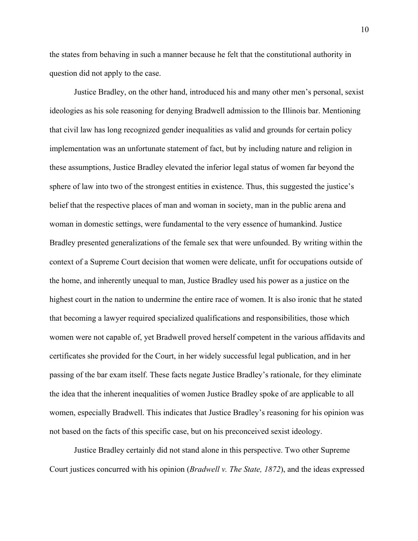the states from behaving in such a manner because he felt that the constitutional authority in question did not apply to the case.

Justice Bradley, on the other hand, introduced his and many other men's personal, sexist ideologies as his sole reasoning for denying Bradwell admission to the Illinois bar. Mentioning that civil law has long recognized gender inequalities as valid and grounds for certain policy implementation was an unfortunate statement of fact, but by including nature and religion in these assumptions, Justice Bradley elevated the inferior legal status of women far beyond the sphere of law into two of the strongest entities in existence. Thus, this suggested the justice's belief that the respective places of man and woman in society, man in the public arena and woman in domestic settings, were fundamental to the very essence of humankind. Justice Bradley presented generalizations of the female sex that were unfounded. By writing within the context of a Supreme Court decision that women were delicate, unfit for occupations outside of the home, and inherently unequal to man, Justice Bradley used his power as a justice on the highest court in the nation to undermine the entire race of women. It is also ironic that he stated that becoming a lawyer required specialized qualifications and responsibilities, those which women were not capable of, yet Bradwell proved herself competent in the various affidavits and certificates she provided for the Court, in her widely successful legal publication, and in her passing of the bar exam itself. These facts negate Justice Bradley's rationale, for they eliminate the idea that the inherent inequalities of women Justice Bradley spoke of are applicable to all women, especially Bradwell. This indicates that Justice Bradley's reasoning for his opinion was not based on the facts of this specific case, but on his preconceived sexist ideology.

Justice Bradley certainly did not stand alone in this perspective. Two other Supreme Court justices concurred with his opinion (*Bradwell v. The State, 1872*), and the ideas expressed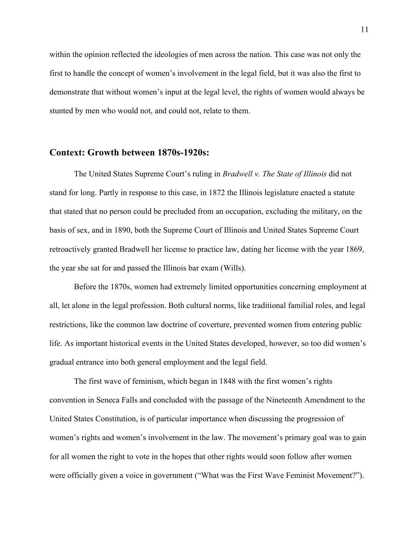within the opinion reflected the ideologies of men across the nation. This case was not only the first to handle the concept of women's involvement in the legal field, but it was also the first to demonstrate that without women's input at the legal level, the rights of women would always be stunted by men who would not, and could not, relate to them.

#### **Context: Growth between 1870s-1920s:**

The United States Supreme Court's ruling in *Bradwell v. The State of Illinois* did not stand for long. Partly in response to this case, in 1872 the Illinois legislature enacted a statute that stated that no person could be precluded from an occupation, excluding the military, on the basis of sex, and in 1890, both the Supreme Court of Illinois and United States Supreme Court retroactively granted Bradwell her license to practice law, dating her license with the year 1869, the year she sat for and passed the Illinois bar exam (Wills).

Before the 1870s, women had extremely limited opportunities concerning employment at all, let alone in the legal profession. Both cultural norms, like traditional familial roles, and legal restrictions, like the common law doctrine of coverture, prevented women from entering public life. As important historical events in the United States developed, however, so too did women's gradual entrance into both general employment and the legal field.

The first wave of feminism, which began in 1848 with the first women's rights convention in Seneca Falls and concluded with the passage of the Nineteenth Amendment to the United States Constitution, is of particular importance when discussing the progression of women's rights and women's involvement in the law. The movement's primary goal was to gain for all women the right to vote in the hopes that other rights would soon follow after women were officially given a voice in government ("What was the First Wave Feminist Movement?").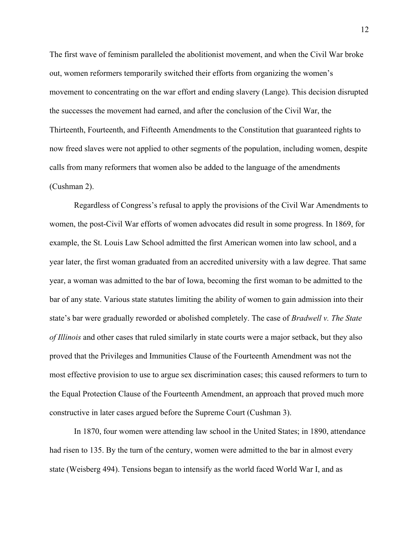The first wave of feminism paralleled the abolitionist movement, and when the Civil War broke out, women reformers temporarily switched their efforts from organizing the women's movement to concentrating on the war effort and ending slavery (Lange). This decision disrupted the successes the movement had earned, and after the conclusion of the Civil War, the Thirteenth, Fourteenth, and Fifteenth Amendments to the Constitution that guaranteed rights to now freed slaves were not applied to other segments of the population, including women, despite calls from many reformers that women also be added to the language of the amendments (Cushman 2).

Regardless of Congress's refusal to apply the provisions of the Civil War Amendments to women, the post-Civil War efforts of women advocates did result in some progress. In 1869, for example, the St. Louis Law School admitted the first American women into law school, and a year later, the first woman graduated from an accredited university with a law degree. That same year, a woman was admitted to the bar of Iowa, becoming the first woman to be admitted to the bar of any state. Various state statutes limiting the ability of women to gain admission into their state's bar were gradually reworded or abolished completely. The case of *Bradwell v. The State of Illinois* and other cases that ruled similarly in state courts were a major setback, but they also proved that the Privileges and Immunities Clause of the Fourteenth Amendment was not the most effective provision to use to argue sex discrimination cases; this caused reformers to turn to the Equal Protection Clause of the Fourteenth Amendment, an approach that proved much more constructive in later cases argued before the Supreme Court (Cushman 3).

In 1870, four women were attending law school in the United States; in 1890, attendance had risen to 135. By the turn of the century, women were admitted to the bar in almost every state (Weisberg 494). Tensions began to intensify as the world faced World War I, and as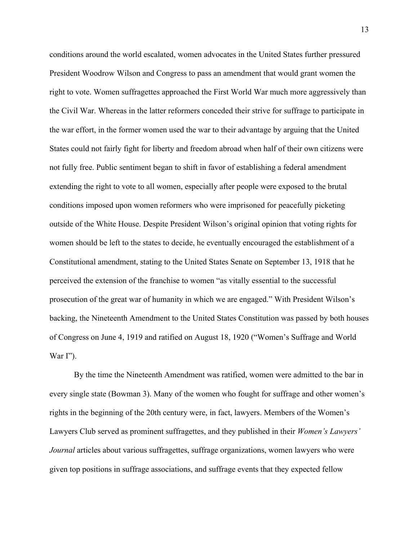conditions around the world escalated, women advocates in the United States further pressured President Woodrow Wilson and Congress to pass an amendment that would grant women the right to vote. Women suffragettes approached the First World War much more aggressively than the Civil War. Whereas in the latter reformers conceded their strive for suffrage to participate in the war effort, in the former women used the war to their advantage by arguing that the United States could not fairly fight for liberty and freedom abroad when half of their own citizens were not fully free. Public sentiment began to shift in favor of establishing a federal amendment extending the right to vote to all women, especially after people were exposed to the brutal conditions imposed upon women reformers who were imprisoned for peacefully picketing outside of the White House. Despite President Wilson's original opinion that voting rights for women should be left to the states to decide, he eventually encouraged the establishment of a Constitutional amendment, stating to the United States Senate on September 13, 1918 that he perceived the extension of the franchise to women "as vitally essential to the successful prosecution of the great war of humanity in which we are engaged." With President Wilson's backing, the Nineteenth Amendment to the United States Constitution was passed by both houses of Congress on June 4, 1919 and ratified on August 18, 1920 ("Women's Suffrage and World War  $\Gamma$ ").

By the time the Nineteenth Amendment was ratified, women were admitted to the bar in every single state (Bowman 3). Many of the women who fought for suffrage and other women's rights in the beginning of the 20th century were, in fact, lawyers. Members of the Women's Lawyers Club served as prominent suffragettes, and they published in their *Women's Lawyers' Journal* articles about various suffragettes, suffrage organizations, women lawyers who were given top positions in suffrage associations, and suffrage events that they expected fellow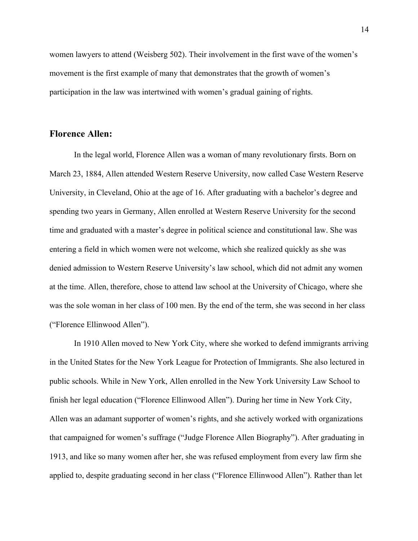women lawyers to attend (Weisberg 502). Their involvement in the first wave of the women's movement is the first example of many that demonstrates that the growth of women's participation in the law was intertwined with women's gradual gaining of rights.

#### **Florence Allen:**

In the legal world, Florence Allen was a woman of many revolutionary firsts. Born on March 23, 1884, Allen attended Western Reserve University, now called Case Western Reserve University, in Cleveland, Ohio at the age of 16. After graduating with a bachelor's degree and spending two years in Germany, Allen enrolled at Western Reserve University for the second time and graduated with a master's degree in political science and constitutional law. She was entering a field in which women were not welcome, which she realized quickly as she was denied admission to Western Reserve University's law school, which did not admit any women at the time. Allen, therefore, chose to attend law school at the University of Chicago, where she was the sole woman in her class of 100 men. By the end of the term, she was second in her class ("Florence Ellinwood Allen").

In 1910 Allen moved to New York City, where she worked to defend immigrants arriving in the United States for the New York League for Protection of Immigrants. She also lectured in public schools. While in New York, Allen enrolled in the New York University Law School to finish her legal education ("Florence Ellinwood Allen"). During her time in New York City, Allen was an adamant supporter of women's rights, and she actively worked with organizations that campaigned for women's suffrage ("Judge Florence Allen Biography"). After graduating in 1913, and like so many women after her, she was refused employment from every law firm she applied to, despite graduating second in her class ("Florence Ellinwood Allen"). Rather than let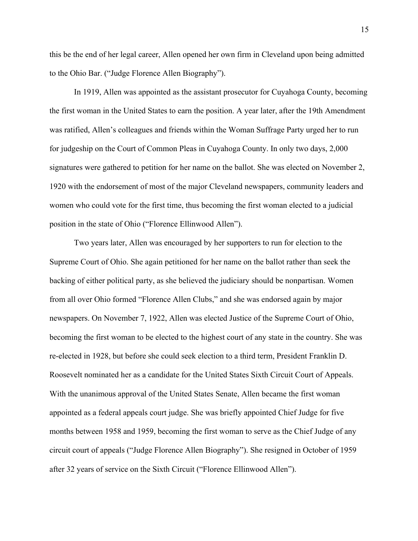this be the end of her legal career, Allen opened her own firm in Cleveland upon being admitted to the Ohio Bar. ("Judge Florence Allen Biography").

In 1919, Allen was appointed as the assistant prosecutor for Cuyahoga County, becoming the first woman in the United States to earn the position. A year later, after the 19th Amendment was ratified, Allen's colleagues and friends within the Woman Suffrage Party urged her to run for judgeship on the Court of Common Pleas in Cuyahoga County. In only two days, 2,000 signatures were gathered to petition for her name on the ballot. She was elected on November 2, 1920 with the endorsement of most of the major Cleveland newspapers, community leaders and women who could vote for the first time, thus becoming the first woman elected to a judicial position in the state of Ohio ("Florence Ellinwood Allen").

Two years later, Allen was encouraged by her supporters to run for election to the Supreme Court of Ohio. She again petitioned for her name on the ballot rather than seek the backing of either political party, as she believed the judiciary should be nonpartisan. Women from all over Ohio formed "Florence Allen Clubs," and she was endorsed again by major newspapers. On November 7, 1922, Allen was elected Justice of the Supreme Court of Ohio, becoming the first woman to be elected to the highest court of any state in the country. She was re-elected in 1928, but before she could seek election to a third term, President Franklin D. Roosevelt nominated her as a candidate for the United States Sixth Circuit Court of Appeals. With the unanimous approval of the United States Senate, Allen became the first woman appointed as a federal appeals court judge. She was briefly appointed Chief Judge for five months between 1958 and 1959, becoming the first woman to serve as the Chief Judge of any circuit court of appeals ("Judge Florence Allen Biography"). She resigned in October of 1959 after 32 years of service on the Sixth Circuit ("Florence Ellinwood Allen").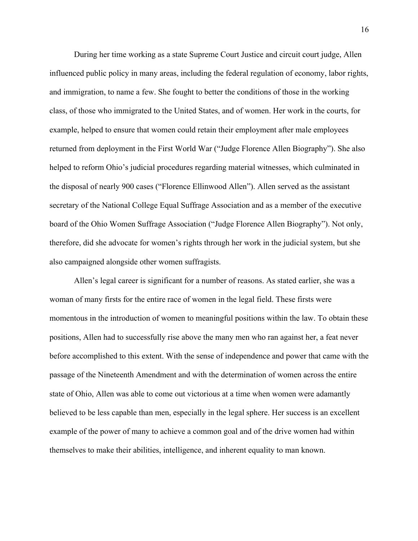During her time working as a state Supreme Court Justice and circuit court judge, Allen influenced public policy in many areas, including the federal regulation of economy, labor rights, and immigration, to name a few. She fought to better the conditions of those in the working class, of those who immigrated to the United States, and of women. Her work in the courts, for example, helped to ensure that women could retain their employment after male employees returned from deployment in the First World War ("Judge Florence Allen Biography"). She also helped to reform Ohio's judicial procedures regarding material witnesses, which culminated in the disposal of nearly 900 cases ("Florence Ellinwood Allen"). Allen served as the assistant secretary of the National College Equal Suffrage Association and as a member of the executive board of the Ohio Women Suffrage Association ("Judge Florence Allen Biography"). Not only, therefore, did she advocate for women's rights through her work in the judicial system, but she also campaigned alongside other women suffragists.

Allen's legal career is significant for a number of reasons. As stated earlier, she was a woman of many firsts for the entire race of women in the legal field. These firsts were momentous in the introduction of women to meaningful positions within the law. To obtain these positions, Allen had to successfully rise above the many men who ran against her, a feat never before accomplished to this extent. With the sense of independence and power that came with the passage of the Nineteenth Amendment and with the determination of women across the entire state of Ohio, Allen was able to come out victorious at a time when women were adamantly believed to be less capable than men, especially in the legal sphere. Her success is an excellent example of the power of many to achieve a common goal and of the drive women had within themselves to make their abilities, intelligence, and inherent equality to man known.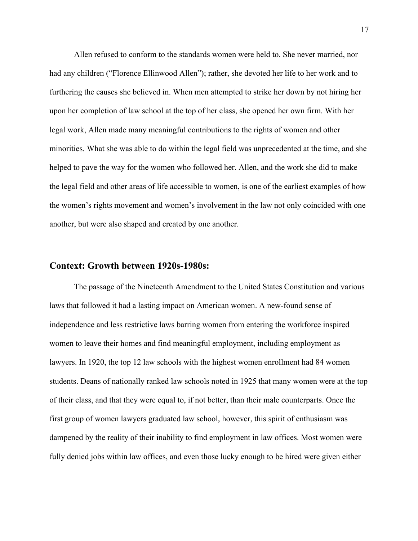Allen refused to conform to the standards women were held to. She never married, nor had any children ("Florence Ellinwood Allen"); rather, she devoted her life to her work and to furthering the causes she believed in. When men attempted to strike her down by not hiring her upon her completion of law school at the top of her class, she opened her own firm. With her legal work, Allen made many meaningful contributions to the rights of women and other minorities. What she was able to do within the legal field was unprecedented at the time, and she helped to pave the way for the women who followed her. Allen, and the work she did to make the legal field and other areas of life accessible to women, is one of the earliest examples of how the women's rights movement and women's involvement in the law not only coincided with one another, but were also shaped and created by one another.

#### **Context: Growth between 1920s-1980s:**

The passage of the Nineteenth Amendment to the United States Constitution and various laws that followed it had a lasting impact on American women. A new-found sense of independence and less restrictive laws barring women from entering the workforce inspired women to leave their homes and find meaningful employment, including employment as lawyers. In 1920, the top 12 law schools with the highest women enrollment had 84 women students. Deans of nationally ranked law schools noted in 1925 that many women were at the top of their class, and that they were equal to, if not better, than their male counterparts. Once the first group of women lawyers graduated law school, however, this spirit of enthusiasm was dampened by the reality of their inability to find employment in law offices. Most women were fully denied jobs within law offices, and even those lucky enough to be hired were given either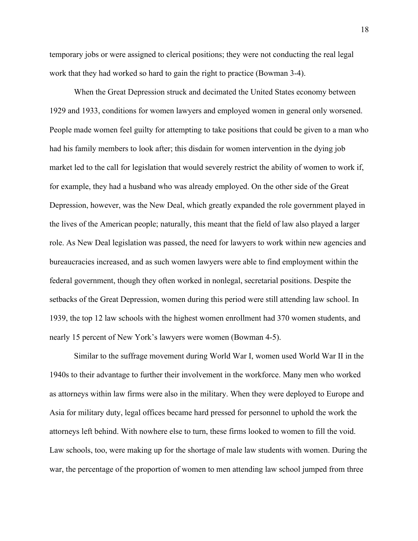temporary jobs or were assigned to clerical positions; they were not conducting the real legal work that they had worked so hard to gain the right to practice (Bowman 3-4).

When the Great Depression struck and decimated the United States economy between 1929 and 1933, conditions for women lawyers and employed women in general only worsened. People made women feel guilty for attempting to take positions that could be given to a man who had his family members to look after; this disdain for women intervention in the dying job market led to the call for legislation that would severely restrict the ability of women to work if, for example, they had a husband who was already employed. On the other side of the Great Depression, however, was the New Deal, which greatly expanded the role government played in the lives of the American people; naturally, this meant that the field of law also played a larger role. As New Deal legislation was passed, the need for lawyers to work within new agencies and bureaucracies increased, and as such women lawyers were able to find employment within the federal government, though they often worked in nonlegal, secretarial positions. Despite the setbacks of the Great Depression, women during this period were still attending law school. In 1939, the top 12 law schools with the highest women enrollment had 370 women students, and nearly 15 percent of New York's lawyers were women (Bowman 4-5).

Similar to the suffrage movement during World War I, women used World War II in the 1940s to their advantage to further their involvement in the workforce. Many men who worked as attorneys within law firms were also in the military. When they were deployed to Europe and Asia for military duty, legal offices became hard pressed for personnel to uphold the work the attorneys left behind. With nowhere else to turn, these firms looked to women to fill the void. Law schools, too, were making up for the shortage of male law students with women. During the war, the percentage of the proportion of women to men attending law school jumped from three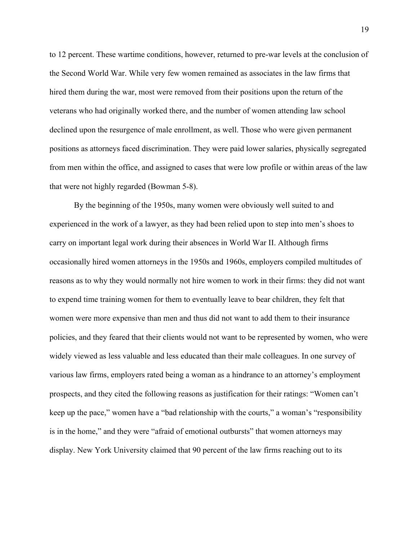to 12 percent. These wartime conditions, however, returned to pre-war levels at the conclusion of the Second World War. While very few women remained as associates in the law firms that hired them during the war, most were removed from their positions upon the return of the veterans who had originally worked there, and the number of women attending law school declined upon the resurgence of male enrollment, as well. Those who were given permanent positions as attorneys faced discrimination. They were paid lower salaries, physically segregated from men within the office, and assigned to cases that were low profile or within areas of the law that were not highly regarded (Bowman 5-8).

By the beginning of the 1950s, many women were obviously well suited to and experienced in the work of a lawyer, as they had been relied upon to step into men's shoes to carry on important legal work during their absences in World War II. Although firms occasionally hired women attorneys in the 1950s and 1960s, employers compiled multitudes of reasons as to why they would normally not hire women to work in their firms: they did not want to expend time training women for them to eventually leave to bear children, they felt that women were more expensive than men and thus did not want to add them to their insurance policies, and they feared that their clients would not want to be represented by women, who were widely viewed as less valuable and less educated than their male colleagues. In one survey of various law firms, employers rated being a woman as a hindrance to an attorney's employment prospects, and they cited the following reasons as justification for their ratings: "Women can't keep up the pace," women have a "bad relationship with the courts," a woman's "responsibility is in the home," and they were "afraid of emotional outbursts" that women attorneys may display. New York University claimed that 90 percent of the law firms reaching out to its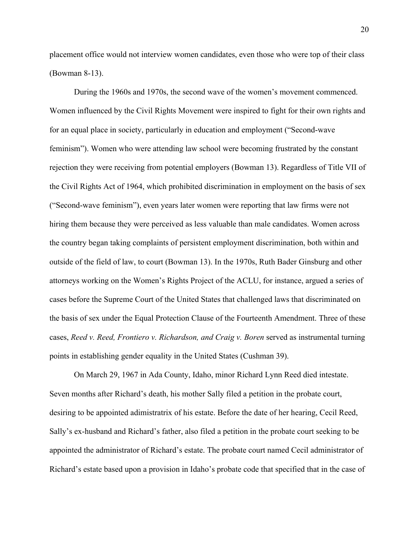placement office would not interview women candidates, even those who were top of their class (Bowman 8-13).

During the 1960s and 1970s, the second wave of the women's movement commenced. Women influenced by the Civil Rights Movement were inspired to fight for their own rights and for an equal place in society, particularly in education and employment ("Second-wave feminism"). Women who were attending law school were becoming frustrated by the constant rejection they were receiving from potential employers (Bowman 13). Regardless of Title VII of the Civil Rights Act of 1964, which prohibited discrimination in employment on the basis of sex ("Second-wave feminism"), even years later women were reporting that law firms were not hiring them because they were perceived as less valuable than male candidates. Women across the country began taking complaints of persistent employment discrimination, both within and outside of the field of law, to court (Bowman 13). In the 1970s, Ruth Bader Ginsburg and other attorneys working on the Women's Rights Project of the ACLU, for instance, argued a series of cases before the Supreme Court of the United States that challenged laws that discriminated on the basis of sex under the Equal Protection Clause of the Fourteenth Amendment. Three of these cases, *Reed v. Reed, Frontiero v. Richardson, and Craig v. Boren* served as instrumental turning points in establishing gender equality in the United States (Cushman 39).

On March 29, 1967 in Ada County, Idaho, minor Richard Lynn Reed died intestate. Seven months after Richard's death, his mother Sally filed a petition in the probate court, desiring to be appointed adimistratrix of his estate. Before the date of her hearing, Cecil Reed, Sally's ex-husband and Richard's father, also filed a petition in the probate court seeking to be appointed the administrator of Richard's estate. The probate court named Cecil administrator of Richard's estate based upon a provision in Idaho's probate code that specified that in the case of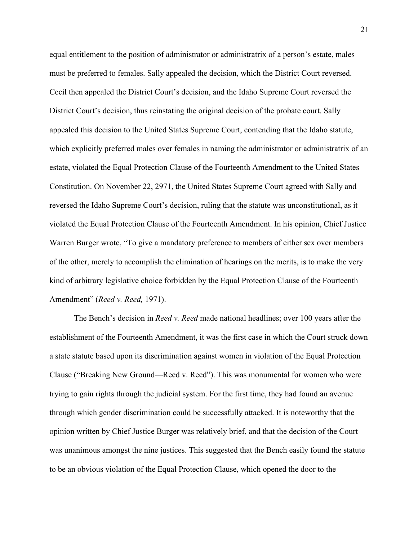equal entitlement to the position of administrator or administratrix of a person's estate, males must be preferred to females. Sally appealed the decision, which the District Court reversed. Cecil then appealed the District Court's decision, and the Idaho Supreme Court reversed the District Court's decision, thus reinstating the original decision of the probate court. Sally appealed this decision to the United States Supreme Court, contending that the Idaho statute, which explicitly preferred males over females in naming the administrator or administratrix of an estate, violated the Equal Protection Clause of the Fourteenth Amendment to the United States Constitution. On November 22, 2971, the United States Supreme Court agreed with Sally and reversed the Idaho Supreme Court's decision, ruling that the statute was unconstitutional, as it violated the Equal Protection Clause of the Fourteenth Amendment. In his opinion, Chief Justice Warren Burger wrote, "To give a mandatory preference to members of either sex over members of the other, merely to accomplish the elimination of hearings on the merits, is to make the very kind of arbitrary legislative choice forbidden by the Equal Protection Clause of the Fourteenth Amendment" (*Reed v. Reed,* 1971).

The Bench's decision in *Reed v. Reed* made national headlines; over 100 years after the establishment of the Fourteenth Amendment, it was the first case in which the Court struck down a state statute based upon its discrimination against women in violation of the Equal Protection Clause ("Breaking New Ground—Reed v. Reed"). This was monumental for women who were trying to gain rights through the judicial system. For the first time, they had found an avenue through which gender discrimination could be successfully attacked. It is noteworthy that the opinion written by Chief Justice Burger was relatively brief, and that the decision of the Court was unanimous amongst the nine justices. This suggested that the Bench easily found the statute to be an obvious violation of the Equal Protection Clause, which opened the door to the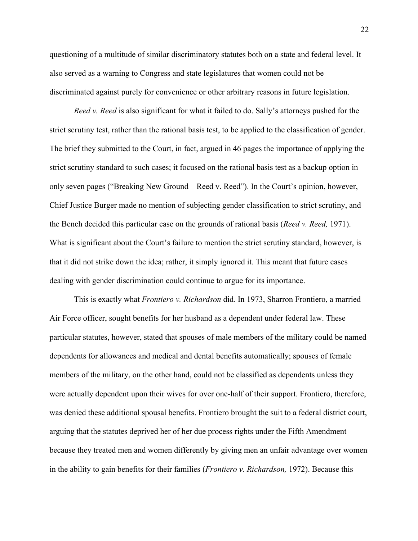questioning of a multitude of similar discriminatory statutes both on a state and federal level. It also served as a warning to Congress and state legislatures that women could not be discriminated against purely for convenience or other arbitrary reasons in future legislation.

*Reed v. Reed* is also significant for what it failed to do. Sally's attorneys pushed for the strict scrutiny test, rather than the rational basis test, to be applied to the classification of gender. The brief they submitted to the Court, in fact, argued in 46 pages the importance of applying the strict scrutiny standard to such cases; it focused on the rational basis test as a backup option in only seven pages ("Breaking New Ground—Reed v. Reed"). In the Court's opinion, however, Chief Justice Burger made no mention of subjecting gender classification to strict scrutiny, and the Bench decided this particular case on the grounds of rational basis (*Reed v. Reed,* 1971). What is significant about the Court's failure to mention the strict scrutiny standard, however, is that it did not strike down the idea; rather, it simply ignored it. This meant that future cases dealing with gender discrimination could continue to argue for its importance.

This is exactly what *Frontiero v. Richardson* did. In 1973, Sharron Frontiero, a married Air Force officer, sought benefits for her husband as a dependent under federal law. These particular statutes, however, stated that spouses of male members of the military could be named dependents for allowances and medical and dental benefits automatically; spouses of female members of the military, on the other hand, could not be classified as dependents unless they were actually dependent upon their wives for over one-half of their support. Frontiero, therefore, was denied these additional spousal benefits. Frontiero brought the suit to a federal district court, arguing that the statutes deprived her of her due process rights under the Fifth Amendment because they treated men and women differently by giving men an unfair advantage over women in the ability to gain benefits for their families (*Frontiero v. Richardson,* 1972). Because this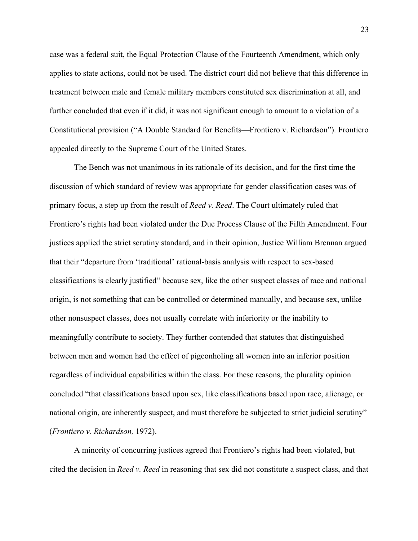case was a federal suit, the Equal Protection Clause of the Fourteenth Amendment, which only applies to state actions, could not be used. The district court did not believe that this difference in treatment between male and female military members constituted sex discrimination at all, and further concluded that even if it did, it was not significant enough to amount to a violation of a Constitutional provision ("A Double Standard for Benefits—Frontiero v. Richardson"). Frontiero appealed directly to the Supreme Court of the United States.

The Bench was not unanimous in its rationale of its decision, and for the first time the discussion of which standard of review was appropriate for gender classification cases was of primary focus, a step up from the result of *Reed v. Reed*. The Court ultimately ruled that Frontiero's rights had been violated under the Due Process Clause of the Fifth Amendment. Four justices applied the strict scrutiny standard, and in their opinion, Justice William Brennan argued that their "departure from 'traditional' rational-basis analysis with respect to sex-based classifications is clearly justified" because sex, like the other suspect classes of race and national origin, is not something that can be controlled or determined manually, and because sex, unlike other nonsuspect classes, does not usually correlate with inferiority or the inability to meaningfully contribute to society. They further contended that statutes that distinguished between men and women had the effect of pigeonholing all women into an inferior position regardless of individual capabilities within the class. For these reasons, the plurality opinion concluded "that classifications based upon sex, like classifications based upon race, alienage, or national origin, are inherently suspect, and must therefore be subjected to strict judicial scrutiny" (*Frontiero v. Richardson,* 1972).

A minority of concurring justices agreed that Frontiero's rights had been violated, but cited the decision in *Reed v. Reed* in reasoning that sex did not constitute a suspect class, and that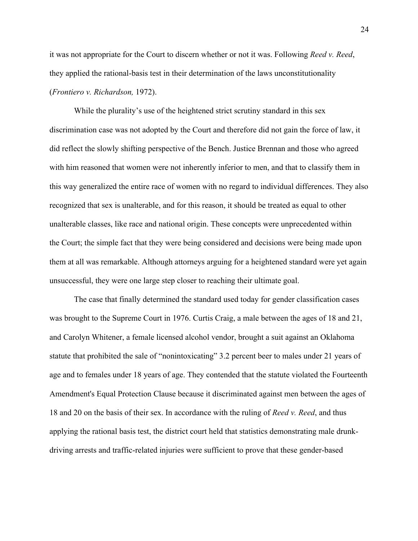it was not appropriate for the Court to discern whether or not it was. Following *Reed v. Reed*, they applied the rational-basis test in their determination of the laws unconstitutionality (*Frontiero v. Richardson,* 1972).

While the plurality's use of the heightened strict scrutiny standard in this sex discrimination case was not adopted by the Court and therefore did not gain the force of law, it did reflect the slowly shifting perspective of the Bench. Justice Brennan and those who agreed with him reasoned that women were not inherently inferior to men, and that to classify them in this way generalized the entire race of women with no regard to individual differences. They also recognized that sex is unalterable, and for this reason, it should be treated as equal to other unalterable classes, like race and national origin. These concepts were unprecedented within the Court; the simple fact that they were being considered and decisions were being made upon them at all was remarkable. Although attorneys arguing for a heightened standard were yet again unsuccessful, they were one large step closer to reaching their ultimate goal.

The case that finally determined the standard used today for gender classification cases was brought to the Supreme Court in 1976. Curtis Craig, a male between the ages of 18 and 21, and Carolyn Whitener, a female licensed alcohol vendor, brought a suit against an Oklahoma statute that prohibited the sale of "nonintoxicating" 3.2 percent beer to males under 21 years of age and to females under 18 years of age. They contended that the statute violated the Fourteenth Amendment's Equal Protection Clause because it discriminated against men between the ages of 18 and 20 on the basis of their sex. In accordance with the ruling of *Reed v. Reed*, and thus applying the rational basis test, the district court held that statistics demonstrating male drunkdriving arrests and traffic-related injuries were sufficient to prove that these gender-based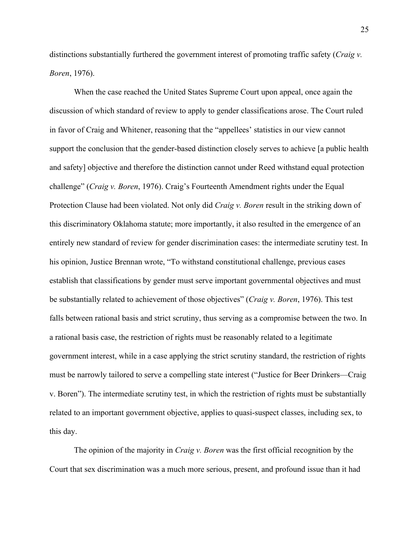distinctions substantially furthered the government interest of promoting traffic safety (*Craig v. Boren*, 1976).

When the case reached the United States Supreme Court upon appeal, once again the discussion of which standard of review to apply to gender classifications arose. The Court ruled in favor of Craig and Whitener, reasoning that the "appellees' statistics in our view cannot support the conclusion that the gender-based distinction closely serves to achieve [a public health and safety] objective and therefore the distinction cannot under Reed withstand equal protection challenge" (*Craig v. Boren*, 1976). Craig's Fourteenth Amendment rights under the Equal Protection Clause had been violated. Not only did *Craig v. Boren* result in the striking down of this discriminatory Oklahoma statute; more importantly, it also resulted in the emergence of an entirely new standard of review for gender discrimination cases: the intermediate scrutiny test. In his opinion, Justice Brennan wrote, "To withstand constitutional challenge, previous cases establish that classifications by gender must serve important governmental objectives and must be substantially related to achievement of those objectives" (*Craig v. Boren*, 1976). This test falls between rational basis and strict scrutiny, thus serving as a compromise between the two. In a rational basis case, the restriction of rights must be reasonably related to a legitimate government interest, while in a case applying the strict scrutiny standard, the restriction of rights must be narrowly tailored to serve a compelling state interest ("Justice for Beer Drinkers—Craig v. Boren"). The intermediate scrutiny test, in which the restriction of rights must be substantially related to an important government objective, applies to quasi-suspect classes, including sex, to this day.

The opinion of the majority in *Craig v. Boren* was the first official recognition by the Court that sex discrimination was a much more serious, present, and profound issue than it had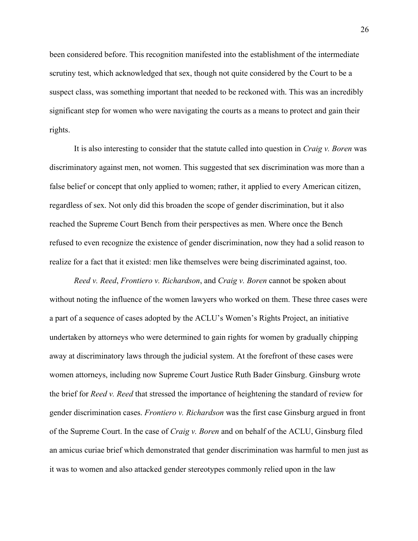been considered before. This recognition manifested into the establishment of the intermediate scrutiny test, which acknowledged that sex, though not quite considered by the Court to be a suspect class, was something important that needed to be reckoned with. This was an incredibly significant step for women who were navigating the courts as a means to protect and gain their rights.

It is also interesting to consider that the statute called into question in *Craig v. Boren* was discriminatory against men, not women. This suggested that sex discrimination was more than a false belief or concept that only applied to women; rather, it applied to every American citizen, regardless of sex. Not only did this broaden the scope of gender discrimination, but it also reached the Supreme Court Bench from their perspectives as men. Where once the Bench refused to even recognize the existence of gender discrimination, now they had a solid reason to realize for a fact that it existed: men like themselves were being discriminated against, too.

*Reed v. Reed*, *Frontiero v. Richardson*, and *Craig v. Boren* cannot be spoken about without noting the influence of the women lawyers who worked on them. These three cases were a part of a sequence of cases adopted by the ACLU's Women's Rights Project, an initiative undertaken by attorneys who were determined to gain rights for women by gradually chipping away at discriminatory laws through the judicial system. At the forefront of these cases were women attorneys, including now Supreme Court Justice Ruth Bader Ginsburg. Ginsburg wrote the brief for *Reed v. Reed* that stressed the importance of heightening the standard of review for gender discrimination cases. *Frontiero v. Richardson* was the first case Ginsburg argued in front of the Supreme Court. In the case of *Craig v. Boren* and on behalf of the ACLU, Ginsburg filed an amicus curiae brief which demonstrated that gender discrimination was harmful to men just as it was to women and also attacked gender stereotypes commonly relied upon in the law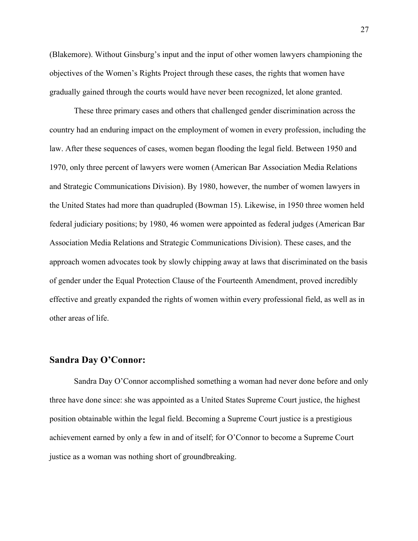(Blakemore). Without Ginsburg's input and the input of other women lawyers championing the objectives of the Women's Rights Project through these cases, the rights that women have gradually gained through the courts would have never been recognized, let alone granted.

These three primary cases and others that challenged gender discrimination across the country had an enduring impact on the employment of women in every profession, including the law. After these sequences of cases, women began flooding the legal field. Between 1950 and 1970, only three percent of lawyers were women (American Bar Association Media Relations and Strategic Communications Division). By 1980, however, the number of women lawyers in the United States had more than quadrupled (Bowman 15). Likewise, in 1950 three women held federal judiciary positions; by 1980, 46 women were appointed as federal judges (American Bar Association Media Relations and Strategic Communications Division). These cases, and the approach women advocates took by slowly chipping away at laws that discriminated on the basis of gender under the Equal Protection Clause of the Fourteenth Amendment, proved incredibly effective and greatly expanded the rights of women within every professional field, as well as in other areas of life.

#### **Sandra Day O'Connor:**

Sandra Day O'Connor accomplished something a woman had never done before and only three have done since: she was appointed as a United States Supreme Court justice, the highest position obtainable within the legal field. Becoming a Supreme Court justice is a prestigious achievement earned by only a few in and of itself; for O'Connor to become a Supreme Court justice as a woman was nothing short of groundbreaking.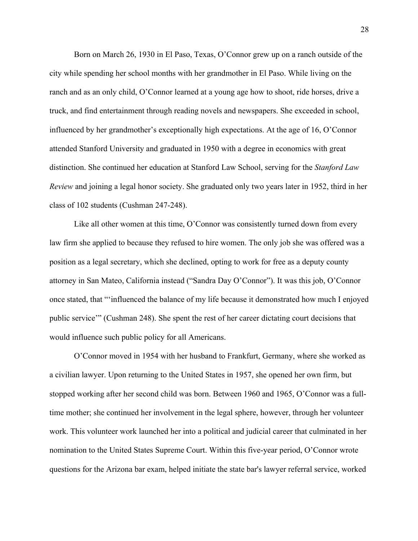Born on March 26, 1930 in El Paso, Texas, O'Connor grew up on a ranch outside of the city while spending her school months with her grandmother in El Paso. While living on the ranch and as an only child, O'Connor learned at a young age how to shoot, ride horses, drive a truck, and find entertainment through reading novels and newspapers. She exceeded in school, influenced by her grandmother's exceptionally high expectations. At the age of 16, O'Connor attended Stanford University and graduated in 1950 with a degree in economics with great distinction. She continued her education at Stanford Law School, serving for the *Stanford Law Review* and joining a legal honor society. She graduated only two years later in 1952, third in her class of 102 students (Cushman 247-248).

Like all other women at this time, O'Connor was consistently turned down from every law firm she applied to because they refused to hire women. The only job she was offered was a position as a legal secretary, which she declined, opting to work for free as a deputy county attorney in San Mateo, California instead ("Sandra Day O'Connor"). It was this job, O'Connor once stated, that "'influenced the balance of my life because it demonstrated how much I enjoyed public service'" (Cushman 248). She spent the rest of her career dictating court decisions that would influence such public policy for all Americans.

O'Connor moved in 1954 with her husband to Frankfurt, Germany, where she worked as a civilian lawyer. Upon returning to the United States in 1957, she opened her own firm, but stopped working after her second child was born. Between 1960 and 1965, O'Connor was a fulltime mother; she continued her involvement in the legal sphere, however, through her volunteer work. This volunteer work launched her into a political and judicial career that culminated in her nomination to the United States Supreme Court. Within this five-year period, O'Connor wrote questions for the Arizona bar exam, helped initiate the state bar's lawyer referral service, worked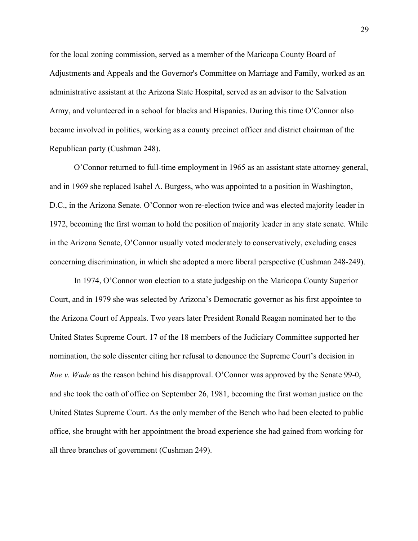for the local zoning commission, served as a member of the Maricopa County Board of Adjustments and Appeals and the Governor's Committee on Marriage and Family, worked as an administrative assistant at the Arizona State Hospital, served as an advisor to the Salvation Army, and volunteered in a school for blacks and Hispanics. During this time O'Connor also became involved in politics, working as a county precinct officer and district chairman of the Republican party (Cushman 248).

O'Connor returned to full-time employment in 1965 as an assistant state attorney general, and in 1969 she replaced Isabel A. Burgess, who was appointed to a position in Washington, D.C., in the Arizona Senate. O'Connor won re-election twice and was elected majority leader in 1972, becoming the first woman to hold the position of majority leader in any state senate. While in the Arizona Senate, O'Connor usually voted moderately to conservatively, excluding cases concerning discrimination, in which she adopted a more liberal perspective (Cushman 248-249).

In 1974, O'Connor won election to a state judgeship on the Maricopa County Superior Court, and in 1979 she was selected by Arizona's Democratic governor as his first appointee to the Arizona Court of Appeals. Two years later President Ronald Reagan nominated her to the United States Supreme Court. 17 of the 18 members of the Judiciary Committee supported her nomination, the sole dissenter citing her refusal to denounce the Supreme Court's decision in *Roe v. Wade* as the reason behind his disapproval. O'Connor was approved by the Senate 99-0, and she took the oath of office on September 26, 1981, becoming the first woman justice on the United States Supreme Court. As the only member of the Bench who had been elected to public office, she brought with her appointment the broad experience she had gained from working for all three branches of government (Cushman 249).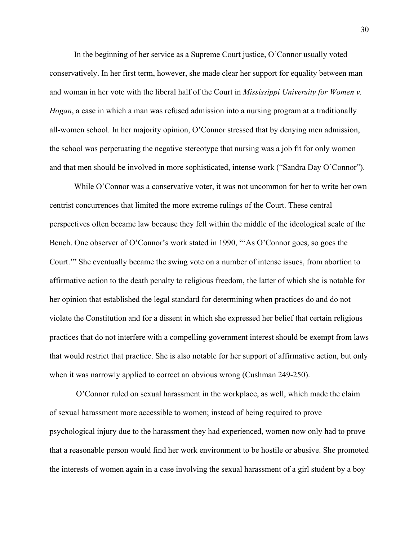In the beginning of her service as a Supreme Court justice, O'Connor usually voted conservatively. In her first term, however, she made clear her support for equality between man and woman in her vote with the liberal half of the Court in *Mississippi University for Women v. Hogan*, a case in which a man was refused admission into a nursing program at a traditionally all-women school. In her majority opinion, O'Connor stressed that by denying men admission, the school was perpetuating the negative stereotype that nursing was a job fit for only women and that men should be involved in more sophisticated, intense work ("Sandra Day O'Connor").

While O'Connor was a conservative voter, it was not uncommon for her to write her own centrist concurrences that limited the more extreme rulings of the Court. These central perspectives often became law because they fell within the middle of the ideological scale of the Bench. One observer of O'Connor's work stated in 1990, "'As O'Connor goes, so goes the Court.'" She eventually became the swing vote on a number of intense issues, from abortion to affirmative action to the death penalty to religious freedom, the latter of which she is notable for her opinion that established the legal standard for determining when practices do and do not violate the Constitution and for a dissent in which she expressed her belief that certain religious practices that do not interfere with a compelling government interest should be exempt from laws that would restrict that practice. She is also notable for her support of affirmative action, but only when it was narrowly applied to correct an obvious wrong (Cushman 249-250).

O'Connor ruled on sexual harassment in the workplace, as well, which made the claim of sexual harassment more accessible to women; instead of being required to prove psychological injury due to the harassment they had experienced, women now only had to prove that a reasonable person would find her work environment to be hostile or abusive. She promoted the interests of women again in a case involving the sexual harassment of a girl student by a boy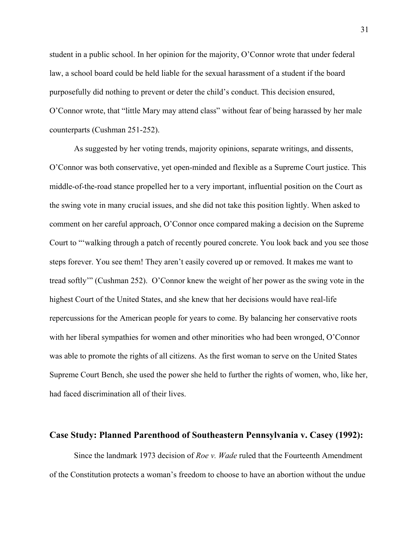student in a public school. In her opinion for the majority, O'Connor wrote that under federal law, a school board could be held liable for the sexual harassment of a student if the board purposefully did nothing to prevent or deter the child's conduct. This decision ensured, O'Connor wrote, that "little Mary may attend class" without fear of being harassed by her male counterparts (Cushman 251-252).

As suggested by her voting trends, majority opinions, separate writings, and dissents, O'Connor was both conservative, yet open-minded and flexible as a Supreme Court justice. This middle-of-the-road stance propelled her to a very important, influential position on the Court as the swing vote in many crucial issues, and she did not take this position lightly. When asked to comment on her careful approach, O'Connor once compared making a decision on the Supreme Court to "'walking through a patch of recently poured concrete. You look back and you see those steps forever. You see them! They aren't easily covered up or removed. It makes me want to tread softly'" (Cushman 252). O'Connor knew the weight of her power as the swing vote in the highest Court of the United States, and she knew that her decisions would have real-life repercussions for the American people for years to come. By balancing her conservative roots with her liberal sympathies for women and other minorities who had been wronged, O'Connor was able to promote the rights of all citizens. As the first woman to serve on the United States Supreme Court Bench, she used the power she held to further the rights of women, who, like her, had faced discrimination all of their lives.

#### **Case Study: Planned Parenthood of Southeastern Pennsylvania v. Casey (1992):**

Since the landmark 1973 decision of *Roe v. Wade* ruled that the Fourteenth Amendment of the Constitution protects a woman's freedom to choose to have an abortion without the undue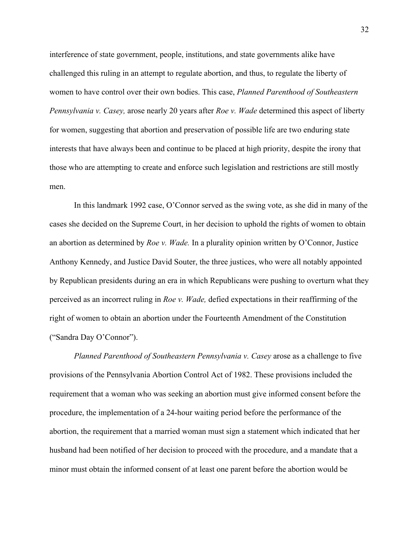interference of state government, people, institutions, and state governments alike have challenged this ruling in an attempt to regulate abortion, and thus, to regulate the liberty of women to have control over their own bodies. This case, *Planned Parenthood of Southeastern Pennsylvania v. Casey,* arose nearly 20 years after *Roe v. Wade* determined this aspect of liberty for women, suggesting that abortion and preservation of possible life are two enduring state interests that have always been and continue to be placed at high priority, despite the irony that those who are attempting to create and enforce such legislation and restrictions are still mostly men.

In this landmark 1992 case, O'Connor served as the swing vote, as she did in many of the cases she decided on the Supreme Court, in her decision to uphold the rights of women to obtain an abortion as determined by *Roe v. Wade.* In a plurality opinion written by O'Connor, Justice Anthony Kennedy, and Justice David Souter, the three justices, who were all notably appointed by Republican presidents during an era in which Republicans were pushing to overturn what they perceived as an incorrect ruling in *Roe v. Wade,* defied expectations in their reaffirming of the right of women to obtain an abortion under the Fourteenth Amendment of the Constitution ("Sandra Day O'Connor").

*Planned Parenthood of Southeastern Pennsylvania v. Casey* arose as a challenge to five provisions of the Pennsylvania Abortion Control Act of 1982. These provisions included the requirement that a woman who was seeking an abortion must give informed consent before the procedure, the implementation of a 24-hour waiting period before the performance of the abortion, the requirement that a married woman must sign a statement which indicated that her husband had been notified of her decision to proceed with the procedure, and a mandate that a minor must obtain the informed consent of at least one parent before the abortion would be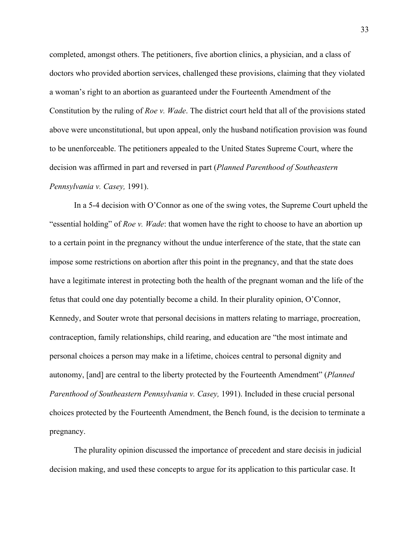completed, amongst others. The petitioners, five abortion clinics, a physician, and a class of doctors who provided abortion services, challenged these provisions, claiming that they violated a woman's right to an abortion as guaranteed under the Fourteenth Amendment of the Constitution by the ruling of *Roe v. Wade*. The district court held that all of the provisions stated above were unconstitutional, but upon appeal, only the husband notification provision was found to be unenforceable. The petitioners appealed to the United States Supreme Court, where the decision was affirmed in part and reversed in part (*Planned Parenthood of Southeastern Pennsylvania v. Casey,* 1991).

In a 5-4 decision with O'Connor as one of the swing votes, the Supreme Court upheld the "essential holding" of *Roe v. Wade*: that women have the right to choose to have an abortion up to a certain point in the pregnancy without the undue interference of the state, that the state can impose some restrictions on abortion after this point in the pregnancy, and that the state does have a legitimate interest in protecting both the health of the pregnant woman and the life of the fetus that could one day potentially become a child. In their plurality opinion, O'Connor, Kennedy, and Souter wrote that personal decisions in matters relating to marriage, procreation, contraception, family relationships, child rearing, and education are "the most intimate and personal choices a person may make in a lifetime, choices central to personal dignity and autonomy, [and] are central to the liberty protected by the Fourteenth Amendment" (*Planned Parenthood of Southeastern Pennsylvania v. Casey, 1991).* Included in these crucial personal choices protected by the Fourteenth Amendment, the Bench found, is the decision to terminate a pregnancy.

The plurality opinion discussed the importance of precedent and stare decisis in judicial decision making, and used these concepts to argue for its application to this particular case. It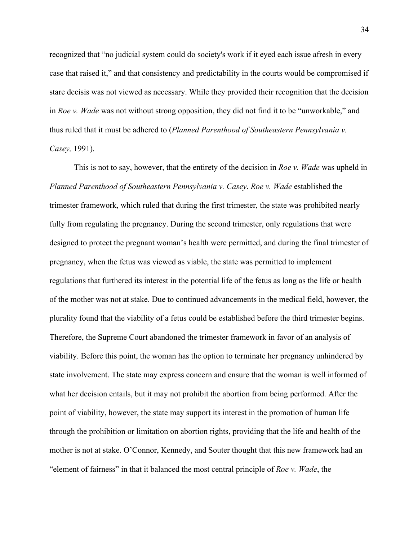recognized that "no judicial system could do society's work if it eyed each issue afresh in every case that raised it," and that consistency and predictability in the courts would be compromised if stare decisis was not viewed as necessary. While they provided their recognition that the decision in *Roe v. Wade* was not without strong opposition, they did not find it to be "unworkable," and thus ruled that it must be adhered to (*Planned Parenthood of Southeastern Pennsylvania v. Casey,* 1991).

This is not to say, however, that the entirety of the decision in *Roe v. Wade* was upheld in *Planned Parenthood of Southeastern Pennsylvania v. Casey*. *Roe v. Wade* established the trimester framework, which ruled that during the first trimester, the state was prohibited nearly fully from regulating the pregnancy. During the second trimester, only regulations that were designed to protect the pregnant woman's health were permitted, and during the final trimester of pregnancy, when the fetus was viewed as viable, the state was permitted to implement regulations that furthered its interest in the potential life of the fetus as long as the life or health of the mother was not at stake. Due to continued advancements in the medical field, however, the plurality found that the viability of a fetus could be established before the third trimester begins. Therefore, the Supreme Court abandoned the trimester framework in favor of an analysis of viability. Before this point, the woman has the option to terminate her pregnancy unhindered by state involvement. The state may express concern and ensure that the woman is well informed of what her decision entails, but it may not prohibit the abortion from being performed. After the point of viability, however, the state may support its interest in the promotion of human life through the prohibition or limitation on abortion rights, providing that the life and health of the mother is not at stake. O'Connor, Kennedy, and Souter thought that this new framework had an "element of fairness" in that it balanced the most central principle of *Roe v. Wade*, the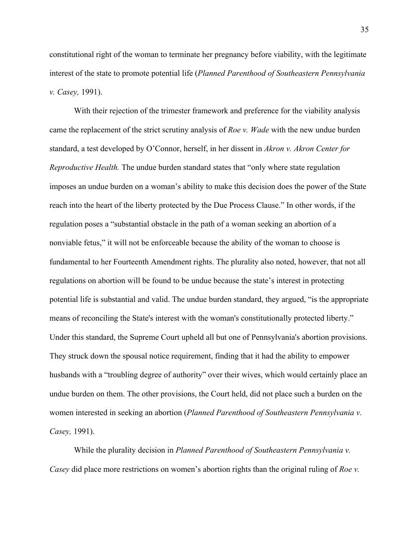constitutional right of the woman to terminate her pregnancy before viability, with the legitimate interest of the state to promote potential life (*Planned Parenthood of Southeastern Pennsylvania v. Casey,* 1991).

With their rejection of the trimester framework and preference for the viability analysis came the replacement of the strict scrutiny analysis of *Roe v. Wade* with the new undue burden standard, a test developed by O'Connor, herself, in her dissent in *Akron v. Akron Center for Reproductive Health.* The undue burden standard states that "only where state regulation imposes an undue burden on a woman's ability to make this decision does the power of the State reach into the heart of the liberty protected by the Due Process Clause." In other words, if the regulation poses a "substantial obstacle in the path of a woman seeking an abortion of a nonviable fetus," it will not be enforceable because the ability of the woman to choose is fundamental to her Fourteenth Amendment rights. The plurality also noted, however, that not all regulations on abortion will be found to be undue because the state's interest in protecting potential life is substantial and valid. The undue burden standard, they argued, "is the appropriate means of reconciling the State's interest with the woman's constitutionally protected liberty." Under this standard, the Supreme Court upheld all but one of Pennsylvania's abortion provisions. They struck down the spousal notice requirement, finding that it had the ability to empower husbands with a "troubling degree of authority" over their wives, which would certainly place an undue burden on them. The other provisions, the Court held, did not place such a burden on the women interested in seeking an abortion (*Planned Parenthood of Southeastern Pennsylvania v. Casey,* 1991).

While the plurality decision in *Planned Parenthood of Southeastern Pennsylvania v. Casey* did place more restrictions on women's abortion rights than the original ruling of *Roe v.*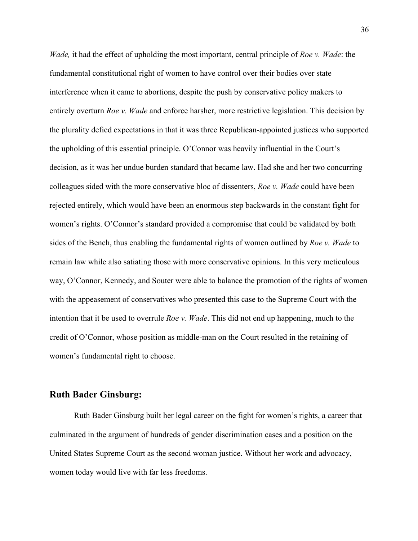*Wade,* it had the effect of upholding the most important, central principle of *Roe v. Wade*: the fundamental constitutional right of women to have control over their bodies over state interference when it came to abortions, despite the push by conservative policy makers to entirely overturn *Roe v. Wade* and enforce harsher, more restrictive legislation. This decision by the plurality defied expectations in that it was three Republican-appointed justices who supported the upholding of this essential principle. O'Connor was heavily influential in the Court's decision, as it was her undue burden standard that became law. Had she and her two concurring colleagues sided with the more conservative bloc of dissenters, *Roe v. Wade* could have been rejected entirely, which would have been an enormous step backwards in the constant fight for women's rights. O'Connor's standard provided a compromise that could be validated by both sides of the Bench, thus enabling the fundamental rights of women outlined by *Roe v. Wade* to remain law while also satiating those with more conservative opinions. In this very meticulous way, O'Connor, Kennedy, and Souter were able to balance the promotion of the rights of women with the appeasement of conservatives who presented this case to the Supreme Court with the intention that it be used to overrule *Roe v. Wade*. This did not end up happening, much to the credit of O'Connor, whose position as middle-man on the Court resulted in the retaining of women's fundamental right to choose.

#### **Ruth Bader Ginsburg:**

Ruth Bader Ginsburg built her legal career on the fight for women's rights, a career that culminated in the argument of hundreds of gender discrimination cases and a position on the United States Supreme Court as the second woman justice. Without her work and advocacy, women today would live with far less freedoms.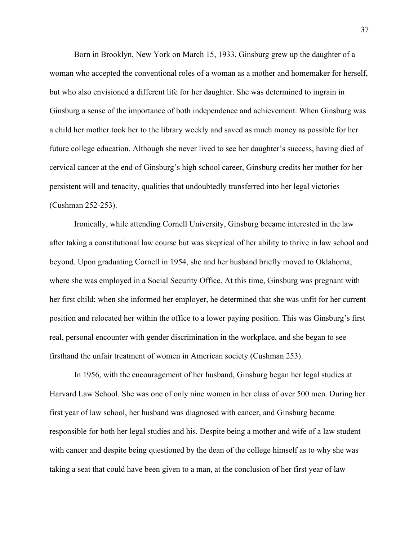Born in Brooklyn, New York on March 15, 1933, Ginsburg grew up the daughter of a woman who accepted the conventional roles of a woman as a mother and homemaker for herself, but who also envisioned a different life for her daughter. She was determined to ingrain in Ginsburg a sense of the importance of both independence and achievement. When Ginsburg was a child her mother took her to the library weekly and saved as much money as possible for her future college education. Although she never lived to see her daughter's success, having died of cervical cancer at the end of Ginsburg's high school career, Ginsburg credits her mother for her persistent will and tenacity, qualities that undoubtedly transferred into her legal victories (Cushman 252-253).

Ironically, while attending Cornell University, Ginsburg became interested in the law after taking a constitutional law course but was skeptical of her ability to thrive in law school and beyond. Upon graduating Cornell in 1954, she and her husband briefly moved to Oklahoma, where she was employed in a Social Security Office. At this time, Ginsburg was pregnant with her first child; when she informed her employer, he determined that she was unfit for her current position and relocated her within the office to a lower paying position. This was Ginsburg's first real, personal encounter with gender discrimination in the workplace, and she began to see firsthand the unfair treatment of women in American society (Cushman 253).

In 1956, with the encouragement of her husband, Ginsburg began her legal studies at Harvard Law School. She was one of only nine women in her class of over 500 men. During her first year of law school, her husband was diagnosed with cancer, and Ginsburg became responsible for both her legal studies and his. Despite being a mother and wife of a law student with cancer and despite being questioned by the dean of the college himself as to why she was taking a seat that could have been given to a man, at the conclusion of her first year of law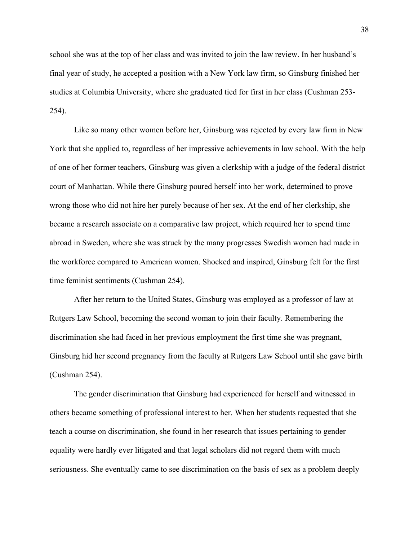school she was at the top of her class and was invited to join the law review. In her husband's final year of study, he accepted a position with a New York law firm, so Ginsburg finished her studies at Columbia University, where she graduated tied for first in her class (Cushman 253- 254).

Like so many other women before her, Ginsburg was rejected by every law firm in New York that she applied to, regardless of her impressive achievements in law school. With the help of one of her former teachers, Ginsburg was given a clerkship with a judge of the federal district court of Manhattan. While there Ginsburg poured herself into her work, determined to prove wrong those who did not hire her purely because of her sex. At the end of her clerkship, she became a research associate on a comparative law project, which required her to spend time abroad in Sweden, where she was struck by the many progresses Swedish women had made in the workforce compared to American women. Shocked and inspired, Ginsburg felt for the first time feminist sentiments (Cushman 254).

After her return to the United States, Ginsburg was employed as a professor of law at Rutgers Law School, becoming the second woman to join their faculty. Remembering the discrimination she had faced in her previous employment the first time she was pregnant, Ginsburg hid her second pregnancy from the faculty at Rutgers Law School until she gave birth (Cushman 254).

The gender discrimination that Ginsburg had experienced for herself and witnessed in others became something of professional interest to her. When her students requested that she teach a course on discrimination, she found in her research that issues pertaining to gender equality were hardly ever litigated and that legal scholars did not regard them with much seriousness. She eventually came to see discrimination on the basis of sex as a problem deeply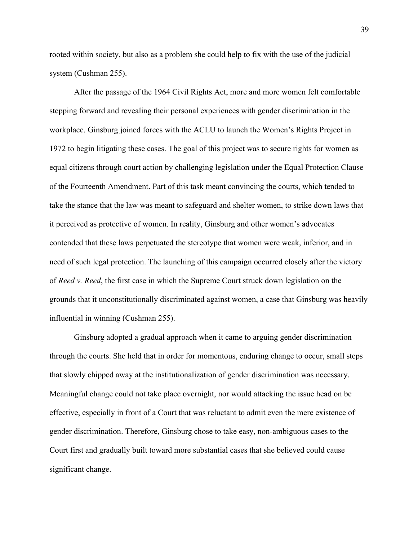rooted within society, but also as a problem she could help to fix with the use of the judicial system (Cushman 255).

After the passage of the 1964 Civil Rights Act, more and more women felt comfortable stepping forward and revealing their personal experiences with gender discrimination in the workplace. Ginsburg joined forces with the ACLU to launch the Women's Rights Project in 1972 to begin litigating these cases. The goal of this project was to secure rights for women as equal citizens through court action by challenging legislation under the Equal Protection Clause of the Fourteenth Amendment. Part of this task meant convincing the courts, which tended to take the stance that the law was meant to safeguard and shelter women, to strike down laws that it perceived as protective of women. In reality, Ginsburg and other women's advocates contended that these laws perpetuated the stereotype that women were weak, inferior, and in need of such legal protection. The launching of this campaign occurred closely after the victory of *Reed v. Reed*, the first case in which the Supreme Court struck down legislation on the grounds that it unconstitutionally discriminated against women, a case that Ginsburg was heavily influential in winning (Cushman 255).

Ginsburg adopted a gradual approach when it came to arguing gender discrimination through the courts. She held that in order for momentous, enduring change to occur, small steps that slowly chipped away at the institutionalization of gender discrimination was necessary. Meaningful change could not take place overnight, nor would attacking the issue head on be effective, especially in front of a Court that was reluctant to admit even the mere existence of gender discrimination. Therefore, Ginsburg chose to take easy, non-ambiguous cases to the Court first and gradually built toward more substantial cases that she believed could cause significant change.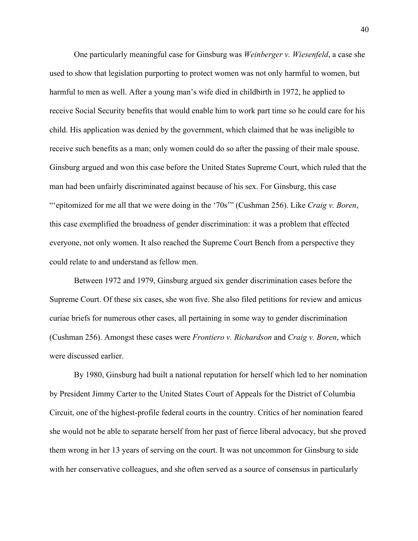One particularly meaningful case for Ginsburg was *Weinberger v. Wiesenfeld*, a case she used to show that legislation purporting to protect women was not only harmful to women, but harmful to men as well. After a young man's wife died in childbirth in 1972, he applied to receive Social Security benefits that would enable him to work part time so he could care for his child. His application was denied by the government, which claimed that he was ineligible to receive such benefits as a man; only women could do so after the passing of their male spouse. Ginsburg argued and won this case before the United States Supreme Court, which ruled that the man had been unfairly discriminated against because of his sex. For Ginsburg, this case "'epitomized for me all that we were doing in the '70s'" (Cushman 256). Like *Craig v. Boren*, this case exemplified the broadness of gender discrimination: it was a problem that effected everyone, not only women. It also reached the Supreme Court Bench from a perspective they could relate to and understand as fellow men.

Between 1972 and 1979, Ginsburg argued six gender discrimination cases before the Supreme Court. Of these six cases, she won five. She also filed petitions for review and amicus curiae briefs for numerous other cases, all pertaining in some way to gender discrimination (Cushman 256). Amongst these cases were *Frontiero v. Richardson* and *Craig v. Boren*, which were discussed earlier.

By 1980, Ginsburg had built a national reputation for herself which led to her nomination by President Jimmy Carter to the United States Court of Appeals for the District of Columbia Circuit, one of the highest-profile federal courts in the country. Critics of her nomination feared she would not be able to separate herself from her past of fierce liberal advocacy, but she proved them wrong in her 13 years of serving on the court. It was not uncommon for Ginsburg to side with her conservative colleagues, and she often served as a source of consensus in particularly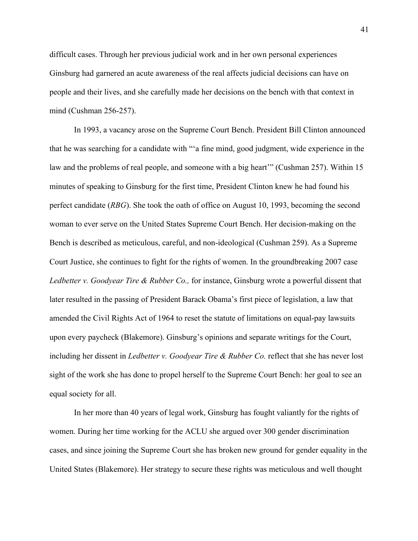difficult cases. Through her previous judicial work and in her own personal experiences Ginsburg had garnered an acute awareness of the real affects judicial decisions can have on people and their lives, and she carefully made her decisions on the bench with that context in mind (Cushman 256-257).

In 1993, a vacancy arose on the Supreme Court Bench. President Bill Clinton announced that he was searching for a candidate with "'a fine mind, good judgment, wide experience in the law and the problems of real people, and someone with a big heart'" (Cushman 257). Within 15 minutes of speaking to Ginsburg for the first time, President Clinton knew he had found his perfect candidate (*RBG*). She took the oath of office on August 10, 1993, becoming the second woman to ever serve on the United States Supreme Court Bench. Her decision-making on the Bench is described as meticulous, careful, and non-ideological (Cushman 259). As a Supreme Court Justice, she continues to fight for the rights of women. In the groundbreaking 2007 case *Ledbetter v. Goodyear Tire & Rubber Co.,* for instance, Ginsburg wrote a powerful dissent that later resulted in the passing of President Barack Obama's first piece of legislation, a law that amended the Civil Rights Act of 1964 to reset the statute of limitations on equal-pay lawsuits upon every paycheck (Blakemore). Ginsburg's opinions and separate writings for the Court, including her dissent in *Ledbetter v. Goodyear Tire & Rubber Co.* reflect that she has never lost sight of the work she has done to propel herself to the Supreme Court Bench: her goal to see an equal society for all.

In her more than 40 years of legal work, Ginsburg has fought valiantly for the rights of women. During her time working for the ACLU she argued over 300 gender discrimination cases, and since joining the Supreme Court she has broken new ground for gender equality in the United States (Blakemore). Her strategy to secure these rights was meticulous and well thought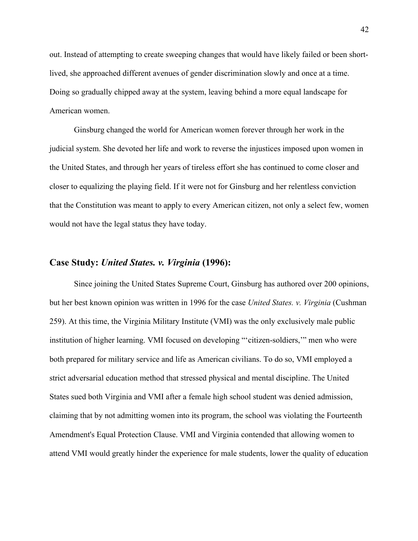out. Instead of attempting to create sweeping changes that would have likely failed or been shortlived, she approached different avenues of gender discrimination slowly and once at a time. Doing so gradually chipped away at the system, leaving behind a more equal landscape for American women.

Ginsburg changed the world for American women forever through her work in the judicial system. She devoted her life and work to reverse the injustices imposed upon women in the United States, and through her years of tireless effort she has continued to come closer and closer to equalizing the playing field. If it were not for Ginsburg and her relentless conviction that the Constitution was meant to apply to every American citizen, not only a select few, women would not have the legal status they have today.

#### **Case Study:** *United States. v. Virginia* **(1996):**

Since joining the United States Supreme Court, Ginsburg has authored over 200 opinions, but her best known opinion was written in 1996 for the case *United States. v. Virginia* (Cushman 259). At this time, the Virginia Military Institute (VMI) was the only exclusively male public institution of higher learning. VMI focused on developing "'citizen-soldiers,'" men who were both prepared for military service and life as American civilians. To do so, VMI employed a strict adversarial education method that stressed physical and mental discipline. The United States sued both Virginia and VMI after a female high school student was denied admission, claiming that by not admitting women into its program, the school was violating the Fourteenth Amendment's Equal Protection Clause. VMI and Virginia contended that allowing women to attend VMI would greatly hinder the experience for male students, lower the quality of education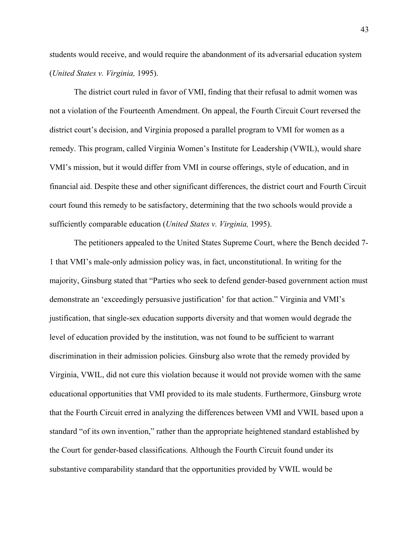students would receive, and would require the abandonment of its adversarial education system (*United States v. Virginia,* 1995).

The district court ruled in favor of VMI, finding that their refusal to admit women was not a violation of the Fourteenth Amendment. On appeal, the Fourth Circuit Court reversed the district court's decision, and Virginia proposed a parallel program to VMI for women as a remedy. This program, called Virginia Women's Institute for Leadership (VWIL), would share VMI's mission, but it would differ from VMI in course offerings, style of education, and in financial aid. Despite these and other significant differences, the district court and Fourth Circuit court found this remedy to be satisfactory, determining that the two schools would provide a sufficiently comparable education (*United States v. Virginia,* 1995).

The petitioners appealed to the United States Supreme Court, where the Bench decided 7- 1 that VMI's male-only admission policy was, in fact, unconstitutional. In writing for the majority, Ginsburg stated that "Parties who seek to defend gender-based government action must demonstrate an 'exceedingly persuasive justification' for that action." Virginia and VMI's justification, that single-sex education supports diversity and that women would degrade the level of education provided by the institution, was not found to be sufficient to warrant discrimination in their admission policies. Ginsburg also wrote that the remedy provided by Virginia, VWIL, did not cure this violation because it would not provide women with the same educational opportunities that VMI provided to its male students. Furthermore, Ginsburg wrote that the Fourth Circuit erred in analyzing the differences between VMI and VWIL based upon a standard "of its own invention," rather than the appropriate heightened standard established by the Court for gender-based classifications. Although the Fourth Circuit found under its substantive comparability standard that the opportunities provided by VWIL would be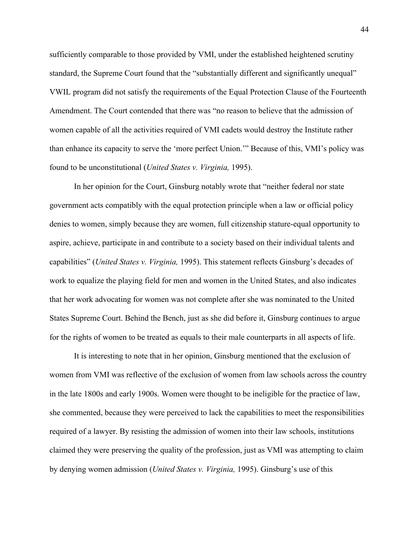sufficiently comparable to those provided by VMI, under the established heightened scrutiny standard, the Supreme Court found that the "substantially different and significantly unequal" VWIL program did not satisfy the requirements of the Equal Protection Clause of the Fourteenth Amendment. The Court contended that there was "no reason to believe that the admission of women capable of all the activities required of VMI cadets would destroy the Institute rather than enhance its capacity to serve the 'more perfect Union.'" Because of this, VMI's policy was found to be unconstitutional (*United States v. Virginia,* 1995).

In her opinion for the Court, Ginsburg notably wrote that "neither federal nor state government acts compatibly with the equal protection principle when a law or official policy denies to women, simply because they are women, full citizenship stature-equal opportunity to aspire, achieve, participate in and contribute to a society based on their individual talents and capabilities" (*United States v. Virginia,* 1995). This statement reflects Ginsburg's decades of work to equalize the playing field for men and women in the United States, and also indicates that her work advocating for women was not complete after she was nominated to the United States Supreme Court. Behind the Bench, just as she did before it, Ginsburg continues to argue for the rights of women to be treated as equals to their male counterparts in all aspects of life.

It is interesting to note that in her opinion, Ginsburg mentioned that the exclusion of women from VMI was reflective of the exclusion of women from law schools across the country in the late 1800s and early 1900s. Women were thought to be ineligible for the practice of law, she commented, because they were perceived to lack the capabilities to meet the responsibilities required of a lawyer. By resisting the admission of women into their law schools, institutions claimed they were preserving the quality of the profession, just as VMI was attempting to claim by denying women admission (*United States v. Virginia,* 1995). Ginsburg's use of this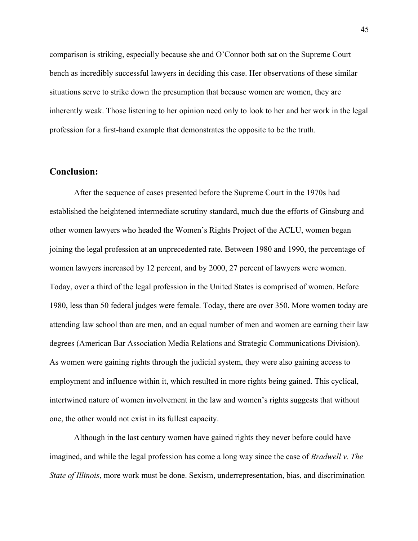comparison is striking, especially because she and O'Connor both sat on the Supreme Court bench as incredibly successful lawyers in deciding this case. Her observations of these similar situations serve to strike down the presumption that because women are women, they are inherently weak. Those listening to her opinion need only to look to her and her work in the legal profession for a first-hand example that demonstrates the opposite to be the truth.

#### **Conclusion:**

After the sequence of cases presented before the Supreme Court in the 1970s had established the heightened intermediate scrutiny standard, much due the efforts of Ginsburg and other women lawyers who headed the Women's Rights Project of the ACLU, women began joining the legal profession at an unprecedented rate. Between 1980 and 1990, the percentage of women lawyers increased by 12 percent, and by 2000, 27 percent of lawyers were women. Today, over a third of the legal profession in the United States is comprised of women. Before 1980, less than 50 federal judges were female. Today, there are over 350. More women today are attending law school than are men, and an equal number of men and women are earning their law degrees (American Bar Association Media Relations and Strategic Communications Division). As women were gaining rights through the judicial system, they were also gaining access to employment and influence within it, which resulted in more rights being gained. This cyclical, intertwined nature of women involvement in the law and women's rights suggests that without one, the other would not exist in its fullest capacity.

Although in the last century women have gained rights they never before could have imagined, and while the legal profession has come a long way since the case of *Bradwell v. The State of Illinois*, more work must be done. Sexism, underrepresentation, bias, and discrimination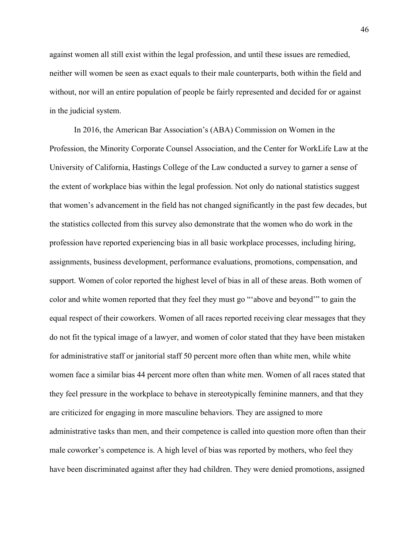against women all still exist within the legal profession, and until these issues are remedied, neither will women be seen as exact equals to their male counterparts, both within the field and without, nor will an entire population of people be fairly represented and decided for or against in the judicial system.

In 2016, the American Bar Association's (ABA) Commission on Women in the Profession, the Minority Corporate Counsel Association, and the Center for WorkLife Law at the University of California, Hastings College of the Law conducted a survey to garner a sense of the extent of workplace bias within the legal profession. Not only do national statistics suggest that women's advancement in the field has not changed significantly in the past few decades, but the statistics collected from this survey also demonstrate that the women who do work in the profession have reported experiencing bias in all basic workplace processes, including hiring, assignments, business development, performance evaluations, promotions, compensation, and support. Women of color reported the highest level of bias in all of these areas. Both women of color and white women reported that they feel they must go "'above and beyond'" to gain the equal respect of their coworkers. Women of all races reported receiving clear messages that they do not fit the typical image of a lawyer, and women of color stated that they have been mistaken for administrative staff or janitorial staff 50 percent more often than white men, while white women face a similar bias 44 percent more often than white men. Women of all races stated that they feel pressure in the workplace to behave in stereotypically feminine manners, and that they are criticized for engaging in more masculine behaviors. They are assigned to more administrative tasks than men, and their competence is called into question more often than their male coworker's competence is. A high level of bias was reported by mothers, who feel they have been discriminated against after they had children. They were denied promotions, assigned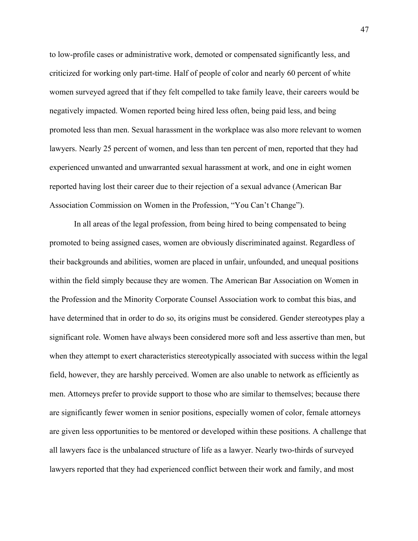to low-profile cases or administrative work, demoted or compensated significantly less, and criticized for working only part-time. Half of people of color and nearly 60 percent of white women surveyed agreed that if they felt compelled to take family leave, their careers would be negatively impacted. Women reported being hired less often, being paid less, and being promoted less than men. Sexual harassment in the workplace was also more relevant to women lawyers. Nearly 25 percent of women, and less than ten percent of men, reported that they had experienced unwanted and unwarranted sexual harassment at work, and one in eight women reported having lost their career due to their rejection of a sexual advance (American Bar Association Commission on Women in the Profession, "You Can't Change").

In all areas of the legal profession, from being hired to being compensated to being promoted to being assigned cases, women are obviously discriminated against. Regardless of their backgrounds and abilities, women are placed in unfair, unfounded, and unequal positions within the field simply because they are women. The American Bar Association on Women in the Profession and the Minority Corporate Counsel Association work to combat this bias, and have determined that in order to do so, its origins must be considered. Gender stereotypes play a significant role. Women have always been considered more soft and less assertive than men, but when they attempt to exert characteristics stereotypically associated with success within the legal field, however, they are harshly perceived. Women are also unable to network as efficiently as men. Attorneys prefer to provide support to those who are similar to themselves; because there are significantly fewer women in senior positions, especially women of color, female attorneys are given less opportunities to be mentored or developed within these positions. A challenge that all lawyers face is the unbalanced structure of life as a lawyer. Nearly two-thirds of surveyed lawyers reported that they had experienced conflict between their work and family, and most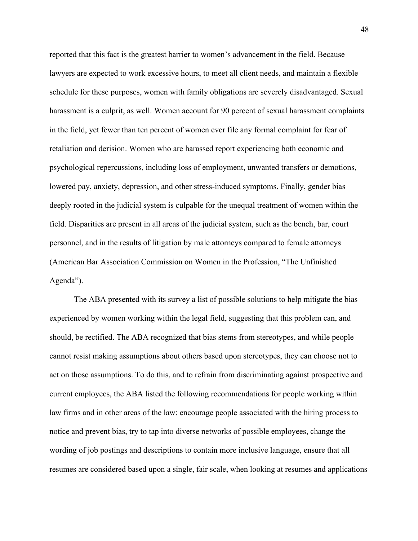reported that this fact is the greatest barrier to women's advancement in the field. Because lawyers are expected to work excessive hours, to meet all client needs, and maintain a flexible schedule for these purposes, women with family obligations are severely disadvantaged. Sexual harassment is a culprit, as well. Women account for 90 percent of sexual harassment complaints in the field, yet fewer than ten percent of women ever file any formal complaint for fear of retaliation and derision. Women who are harassed report experiencing both economic and psychological repercussions, including loss of employment, unwanted transfers or demotions, lowered pay, anxiety, depression, and other stress-induced symptoms. Finally, gender bias deeply rooted in the judicial system is culpable for the unequal treatment of women within the field. Disparities are present in all areas of the judicial system, such as the bench, bar, court personnel, and in the results of litigation by male attorneys compared to female attorneys (American Bar Association Commission on Women in the Profession, "The Unfinished Agenda").

The ABA presented with its survey a list of possible solutions to help mitigate the bias experienced by women working within the legal field, suggesting that this problem can, and should, be rectified. The ABA recognized that bias stems from stereotypes, and while people cannot resist making assumptions about others based upon stereotypes, they can choose not to act on those assumptions. To do this, and to refrain from discriminating against prospective and current employees, the ABA listed the following recommendations for people working within law firms and in other areas of the law: encourage people associated with the hiring process to notice and prevent bias, try to tap into diverse networks of possible employees, change the wording of job postings and descriptions to contain more inclusive language, ensure that all resumes are considered based upon a single, fair scale, when looking at resumes and applications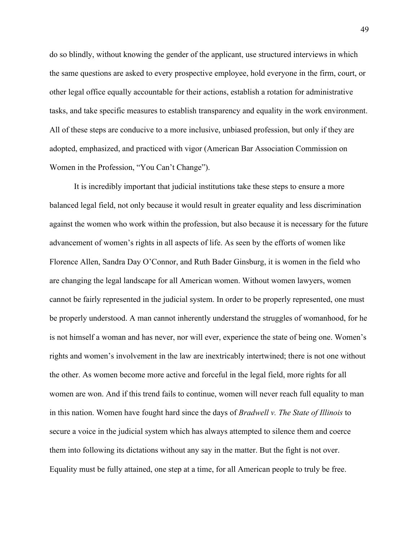do so blindly, without knowing the gender of the applicant, use structured interviews in which the same questions are asked to every prospective employee, hold everyone in the firm, court, or other legal office equally accountable for their actions, establish a rotation for administrative tasks, and take specific measures to establish transparency and equality in the work environment. All of these steps are conducive to a more inclusive, unbiased profession, but only if they are adopted, emphasized, and practiced with vigor (American Bar Association Commission on Women in the Profession, "You Can't Change").

It is incredibly important that judicial institutions take these steps to ensure a more balanced legal field, not only because it would result in greater equality and less discrimination against the women who work within the profession, but also because it is necessary for the future advancement of women's rights in all aspects of life. As seen by the efforts of women like Florence Allen, Sandra Day O'Connor, and Ruth Bader Ginsburg, it is women in the field who are changing the legal landscape for all American women. Without women lawyers, women cannot be fairly represented in the judicial system. In order to be properly represented, one must be properly understood. A man cannot inherently understand the struggles of womanhood, for he is not himself a woman and has never, nor will ever, experience the state of being one. Women's rights and women's involvement in the law are inextricably intertwined; there is not one without the other. As women become more active and forceful in the legal field, more rights for all women are won. And if this trend fails to continue, women will never reach full equality to man in this nation. Women have fought hard since the days of *Bradwell v. The State of Illinois* to secure a voice in the judicial system which has always attempted to silence them and coerce them into following its dictations without any say in the matter. But the fight is not over. Equality must be fully attained, one step at a time, for all American people to truly be free.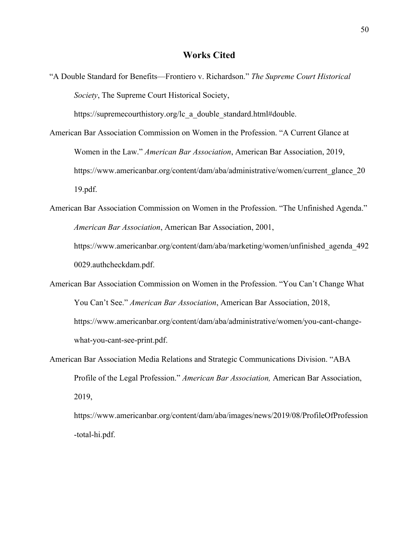#### **Works Cited**

"A Double Standard for Benefits—Frontiero v. Richardson." *The Supreme Court Historical Society*, The Supreme Court Historical Society,

https://supremecourthistory.org/lc\_a\_double\_standard.html#double.

- American Bar Association Commission on Women in the Profession. "A Current Glance at Women in the Law." *American Bar Association*, American Bar Association, 2019, https://www.americanbar.org/content/dam/aba/administrative/women/current\_glance\_20 19.pdf.
- American Bar Association Commission on Women in the Profession. "The Unfinished Agenda." *American Bar Association*, American Bar Association, 2001, https://www.americanbar.org/content/dam/aba/marketing/women/unfinished\_agenda\_492

0029.authcheckdam.pdf.

- American Bar Association Commission on Women in the Profession. "You Can't Change What You Can't See." *American Bar Association*, American Bar Association, 2018, https://www.americanbar.org/content/dam/aba/administrative/women/you-cant-changewhat-you-cant-see-print.pdf.
- American Bar Association Media Relations and Strategic Communications Division. "ABA Profile of the Legal Profession." *American Bar Association,* American Bar Association, 2019,

https://www.americanbar.org/content/dam/aba/images/news/2019/08/ProfileOfProfession -total-hi.pdf.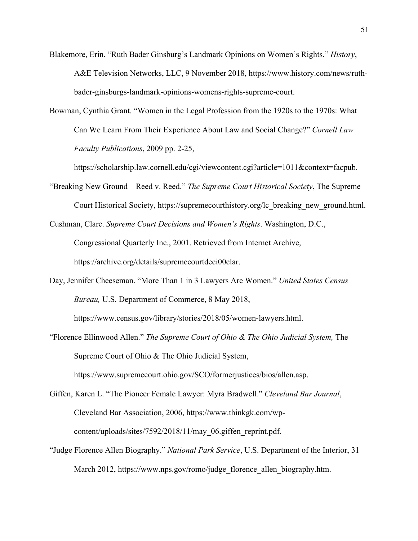- Blakemore, Erin. "Ruth Bader Ginsburg's Landmark Opinions on Women's Rights." *History*, A&E Television Networks, LLC, 9 November 2018, https://www.history.com/news/ruthbader-ginsburgs-landmark-opinions-womens-rights-supreme-court.
- Bowman, Cynthia Grant. "Women in the Legal Profession from the 1920s to the 1970s: What Can We Learn From Their Experience About Law and Social Change?" *Cornell Law Faculty Publications*, 2009 pp. 2-25,

https://scholarship.law.cornell.edu/cgi/viewcontent.cgi?article=1011&context=facpub.

- "Breaking New Ground—Reed v. Reed." *The Supreme Court Historical Society*, The Supreme Court Historical Society, https://supremecourthistory.org/lc\_breaking\_new\_ground.html.
- Cushman, Clare. *Supreme Court Decisions and Women's Rights*. Washington, D.C., Congressional Quarterly Inc., 2001. Retrieved from Internet Archive, https://archive.org/details/supremecourtdeci00clar.
- Day, Jennifer Cheeseman. "More Than 1 in 3 Lawyers Are Women." *United States Census Bureau,* U.S. Department of Commerce, 8 May 2018,

https://www.census.gov/library/stories/2018/05/women-lawyers.html.

- "Florence Ellinwood Allen." *The Supreme Court of Ohio & The Ohio Judicial System,* The Supreme Court of Ohio & The Ohio Judicial System, https://www.supremecourt.ohio.gov/SCO/formerjustices/bios/allen.asp.
- Giffen, Karen L. "The Pioneer Female Lawyer: Myra Bradwell." *Cleveland Bar Journal*, Cleveland Bar Association, 2006, https://www.thinkgk.com/wpcontent/uploads/sites/7592/2018/11/may\_06.giffen\_reprint.pdf.
- "Judge Florence Allen Biography." *National Park Service*, U.S. Department of the Interior, 31 March 2012, https://www.nps.gov/romo/judge\_florence\_allen\_biography.htm.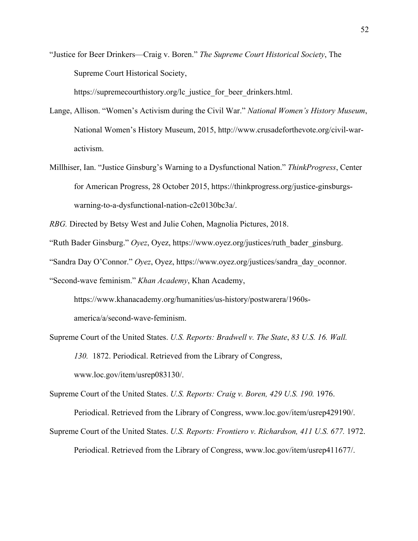"Justice for Beer Drinkers—Craig v. Boren." *The Supreme Court Historical Society*, The Supreme Court Historical Society,

https://supremecourthistory.org/lc\_justice\_for\_beer\_drinkers.html.

- Lange, Allison. "Women's Activism during the Civil War." *National Women's History Museum*, National Women's History Museum, 2015, http://www.crusadeforthevote.org/civil-waractivism.
- Millhiser, Ian. "Justice Ginsburg's Warning to a Dysfunctional Nation." *ThinkProgress*, Center for American Progress, 28 October 2015, https://thinkprogress.org/justice-ginsburgswarning-to-a-dysfunctional-nation-c2c0130bc3a/.
- *RBG.* Directed by Betsy West and Julie Cohen, Magnolia Pictures, 2018.
- "Ruth Bader Ginsburg." *Oyez*, Oyez, https://www.oyez.org/justices/ruth\_bader\_ginsburg.
- "Sandra Day O'Connor." *Oyez*, Oyez, https://www.oyez.org/justices/sandra\_day\_oconnor.

"Second-wave feminism." *Khan Academy*, Khan Academy,

https://www.khanacademy.org/humanities/us-history/postwarera/1960samerica/a/second-wave-feminism.

Supreme Court of the United States. *U.S. Reports: Bradwell v. The State*, *83 U.S. 16. Wall. 130.* 1872. Periodical. Retrieved from the Library of Congress, www.loc.gov/item/usrep083130/.

Supreme Court of the United States. *U.S. Reports: Craig v. Boren, 429 U.S. 190.* 1976.

Periodical. Retrieved from the Library of Congress, www.loc.gov/item/usrep429190/.

Supreme Court of the United States. *U.S. Reports: Frontiero v. Richardson, 411 U.S. 677.* 1972. Periodical. Retrieved from the Library of Congress, www.loc.gov/item/usrep411677/.